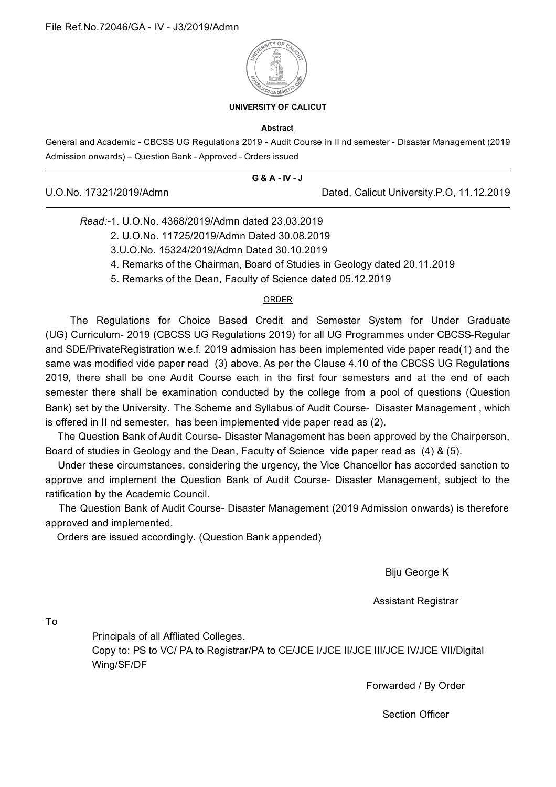

## **UNIVERSITY OF CALICUT**

## **Abstract**

General and Academic - CBCSS UG Regulations 2019 - Audit Course in II nd semester - Disaster Management (2019 Admission onwards) – Question Bank - Approved - Orders issued

|                         | G & A - IV - J |                                           |
|-------------------------|----------------|-------------------------------------------|
| U.O.No. 17321/2019/Admn |                | Dated, Calicut University.P.O, 11.12.2019 |

## *Read:-*1. U.O.No. 4368/2019/Admn dated 23.03.2019

- 2. U.O.No. 11725/2019/Admn Dated 30.08.2019
- 3.U.O.No. 15324/2019/Admn Dated 30.10.2019
- 4. Remarks of the Chairman, Board of Studies in Geology dated 20.11.2019
- 5. Remarks of the Dean, Faculty of Science dated 05.12.2019

## ORDER

The Regulations for Choice Based Credit and Semester System for Under Graduate (UG) Curriculum- 2019 (CBCSS UG Regulations 2019) for all UG Programmes under CBCSS-Regular and SDE/PrivateRegistration w.e.f. 2019 admission has been implemented vide paper read(1) and the same was modified vide paper read (3) above. As per the Clause 4.10 of the CBCSS UG Regulations 2019, there shall be one Audit Course each in the first four semesters and at the end of each semester there shall be examination conducted by the college from a pool of questions (Question Bank) set by the University. The Scheme and Syllabus of Audit Course- Disaster Management , which is offered in II nd semester, has been implemented vide paper read as (2).

The Question Bank of Audit Course- Disaster Management has been approved by the Chairperson, Board of studies in Geology and the Dean, Faculty of Science vide paper read as (4) & (5).

Under these circumstances, considering the urgency, the Vice Chancellor has accorded sanction to approve and implement the Question Bank of Audit Course- Disaster Management, subject to the ratification by the Academic Council.

The Question Bank of Audit Course- Disaster Management (2019 Admission onwards) is therefore approved and implemented.

Orders are issued accordingly. (Question Bank appended)

Biju George K

Assistant Registrar

To

Principals of all Affliated Colleges.

Copy to: PS to VC/ PA to Registrar/PA to CE/JCE I/JCE II/JCE III/JCE IV/JCE VII/Digital Wing/SF/DF

Forwarded / By Order

Section Officer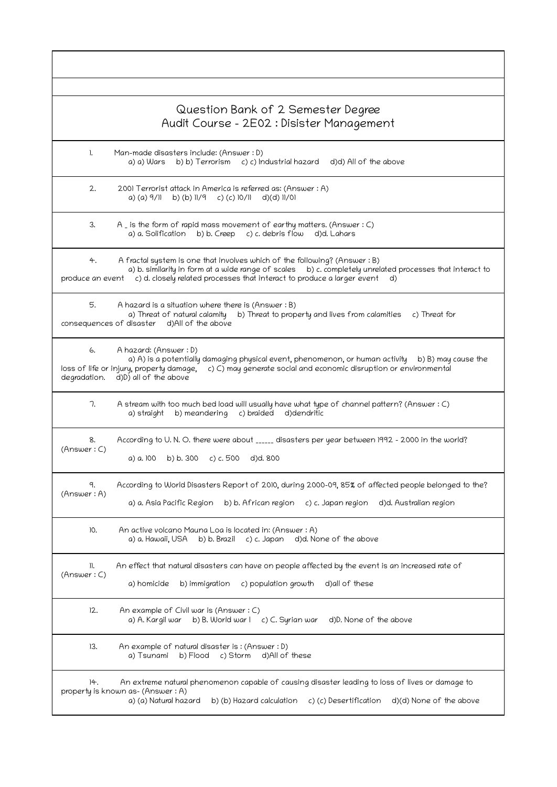|                              | Question Bank of 2 Semester Degree<br>Audit Course - 2E02 : Disister Management                                                                                                                                                                                         |
|------------------------------|-------------------------------------------------------------------------------------------------------------------------------------------------------------------------------------------------------------------------------------------------------------------------|
| $\mathbf{L}$                 | Man-made disasters include: (Answer : D)<br>b) b) Terrorism c) c) Industrial hazard<br>d)d) All of the above<br>a) a) Wars                                                                                                                                              |
| 2.                           | 2001 Terrorist attack in America is referred as: (Answer: A)<br>b) (b) $\frac{1}{9}$ c) (c) $\frac{10}{11}$ d)(d) $\frac{11}{01}$<br>a) (a) 9/11                                                                                                                        |
| 3.                           | $A$ is the form of rapid mass movement of earthy matters. (Answer : C)<br>a) a. Solification b) b. Creep c) c. debris flow d)d. Lahars                                                                                                                                  |
| 4.<br>produce an event       | A fractal system is one that involves which of the following? (Answer : B)<br>a) b. similarity in form at a wide range of scales b) c. completely unrelated processes that interact to<br>c) d. closely related processes that interact to produce a larger event<br>d) |
| 5.                           | A hazard is a situation where there is (Answer: B)<br>a) Threat of natural calamity<br>b) Threat to property and lives from calamities<br>c) Threat for<br>consequences of disaster d)All of the above                                                                  |
| 6.<br>degradation.           | A hazard: (Answer: D)<br>a) A) is a potentially damaging physical event, phenomenon, or human activity b) B) may cause the<br>c) C) may generate social and economic disruption or environmental<br>loss of life or injury, property damage,<br>d)D) all of the above   |
| 7.                           | A stream with too much bed load will usually have what type of channel pattern? (Answer : C)<br>a) straight<br>b) meandering<br>c) braided<br>d)dendritic                                                                                                               |
| 8.<br>(Answer: C)            | According to U.N.O. there were about _____ disasters per year between 1992 - 2000 in the world?<br>a) a. 100 b) b. 300 c) c. 500<br>d)d. 800                                                                                                                            |
| 9.<br>(Answer: A)            | According to World Disasters Report of 2010, during 2000-09, 85% of affected people belonged to the?<br>b) b. African region<br>c) c. Japan region<br>a) a. Asia Pacific Region<br>d)d. Australian region                                                               |
| 10.                          | An active volcano Mauna Loa is located in: (Answer: A)<br>c) c. Japan<br>d)d. None of the above<br>a) a. Hawaii, USA<br>b) b. Brazil                                                                                                                                    |
| $\mathcal{L}$<br>(Answer: C) | An effect that natural disasters can have on people affected by the event is an increased rate of<br>a) homicide<br>b) immigration<br>c) population growth<br>d) all of these                                                                                           |
| 12.                          | An example of Civil war is (Answer: C)<br>b) B. World war I c) C. Syrian war<br>d)D. None of the above<br>a) A. Kargil war                                                                                                                                              |
| 13.                          | An example of natural disaster is: (Answer: D)<br>a) Tsunami<br>b) Flood<br>c) Storm<br>d)All of these                                                                                                                                                                  |
| 14.                          | An extreme natural phenomenon capable of causing disaster leading to loss of lives or damage to<br>property is known as- (Answer: A)<br>a) (a) Natural hazard<br>b) (b) Hazard calculation<br>c) (c) Desertification<br>d)(d) None of the above                         |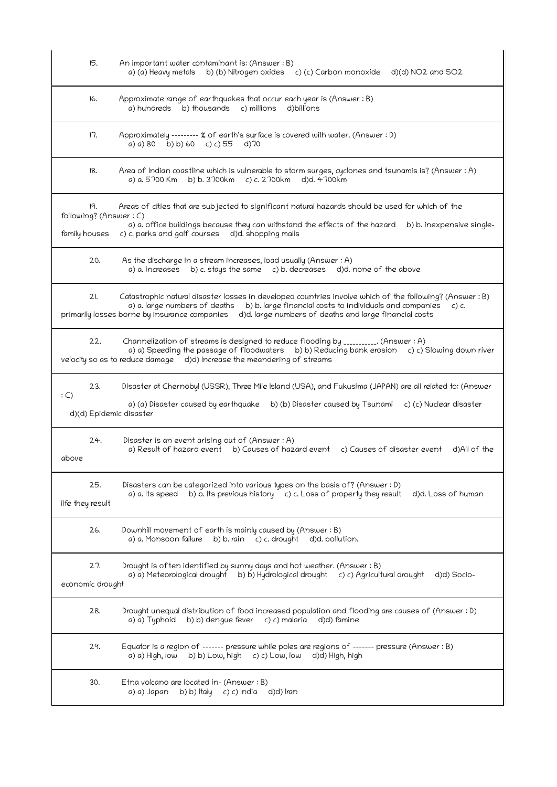| 15.                                            | An important water contaminant is: (Answer : B)<br>b) (b) Nitrogen oxides c) (c) Carbon monoxide<br>a) (a) Heavy metals<br>$d$ $(d)$ NO2 and SO2                                                                                                                                                                      |
|------------------------------------------------|-----------------------------------------------------------------------------------------------------------------------------------------------------------------------------------------------------------------------------------------------------------------------------------------------------------------------|
| 16.                                            | Approximate range of earthquakes that occur each year is (Answer: B)<br>b) thousands c) millions<br>a) hundreds<br>d)billions                                                                                                                                                                                         |
| 17.                                            | Approximately -------- % of earth's surface is covered with water. (Answer : D)<br>a) a) 80 b) b) 60 c) c) 55<br>$d$ ) 70                                                                                                                                                                                             |
| 18.                                            | Area of Indian coastline which is vulnerable to storm surges, cyclones and tsunamis is? (Answer : A)<br>a) a. 5700 Km<br>b) b. 3700km c) c. 2700km d)d. 4700km                                                                                                                                                        |
| 19.<br>following? (Answer: C)<br>family houses | Areas of cities that are subjected to significant natural hazards should be used for which of the<br>a) a. office buildings because they can withstand the effects of the hazard b) b. inexpensive single-<br>c) c. parks and golf courses<br>d)d. shopping malls                                                     |
| 20.                                            | As the discharge in a stream increases, load usually (Answer: A)<br>a) a. increases b) c. stays the same c) b. decreases d)d. none of the above                                                                                                                                                                       |
| 21.                                            | Catastrophic natural disaster losses in developed countries involve which of the following? (Answer: B)<br>b) b. large financial costs to individuals and companies<br>a) a. large numbers of deaths<br>c) c.<br>primarily losses borne by insurance companies d)d. large numbers of deaths and large financial costs |
| 22.                                            | Channelization of streams is designed to reduce flooding by ___________. (Answer : A)<br>a) a) Speeding the passage of floodwaters b) b) Reducing bank erosion c) c) Slowing down river<br>velocity so as to reduce damage d)d) Increase the meandering of streams                                                    |
| 23.<br>: C)<br>d)(d) Epidemic disaster         | Disaster at Chernobyl (USSR), Three Mile Island (USA), and Fukusima (JAPAN) are all related to: (Answer<br>a) (a) Disaster caused by earthquake b) (b) Disaster caused by Tsunami c) (c) Nuclear disaster                                                                                                             |
| 24.<br>above                                   | Disaster is an event arising out of (Answer: A)<br>a) Result of hazard event b) Causes of hazard event c) Causes of disaster event<br>d)All of the                                                                                                                                                                    |
| 25.<br>life they result                        | Disasters can be categorized into various types on the basis of? (Answer : D)<br>a) a. Its speed<br>b) b. Its previous history c) c. Loss of property they result<br>d)d. Loss of human                                                                                                                               |
| 26.                                            | Downhill movement of earth is mainly caused by (Answer: B)<br>b) b. rain $c$ ) c. drought<br>a) a. Monsoon failure<br>d)d. pollution.                                                                                                                                                                                 |
| 27.<br>economic drought                        | Drought is often identified by sunny days and hot weather. (Answer: B)<br>a) a) Meteorological drought b) b) Hydrological drought<br>c) c) Agricultural drought<br>d)d) Socio-                                                                                                                                        |
| 28.                                            | Drought unequal distribution of food increased population and flooding are causes of (Answer: D)<br>b) b) dengue fever<br>c) c) malaria<br>a) a) Typhoid<br>d)d) famine                                                                                                                                               |
| 29.                                            | Equator is a region of ------- pressure while poles are regions of ------- pressure (Answer : B)<br>b) b) Low, high c) c) Low, low d)d) High, high<br>a) a) High, Iow                                                                                                                                                 |
| 30.                                            | Etna volcano are located in- (Answer: B)<br>b) b) Italy c) c) India<br>d)d) Iran<br>a) a) Japan                                                                                                                                                                                                                       |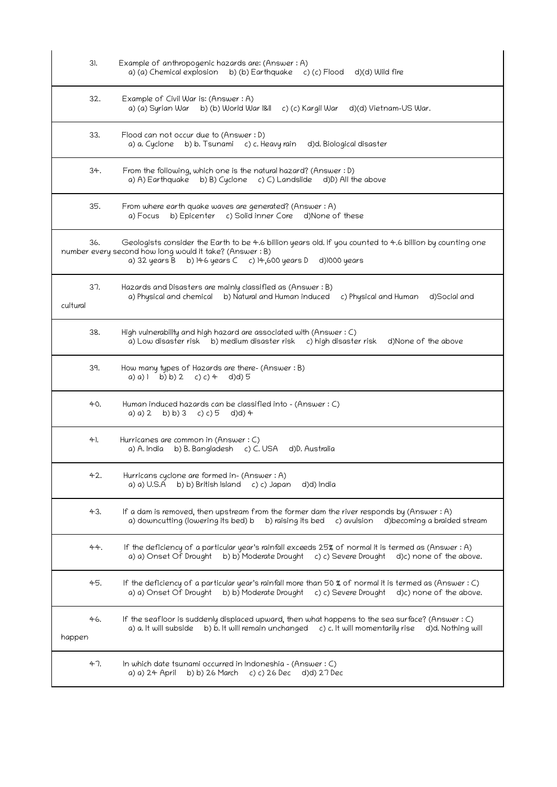| 31.             | Example of anthropogenic hazards are: (Answer : A)<br>a) (a) Chemical explosion b) (b) Earthquake c) (c) Flood<br>d)(d) Wild fire                                                                                                              |
|-----------------|------------------------------------------------------------------------------------------------------------------------------------------------------------------------------------------------------------------------------------------------|
| 32.             | Example of Civil War is: (Answer : A)<br>a) (a) Syrian War b) (b) World War I&II c) (c) Kargil War<br>d)(d) Vietnam-US War.                                                                                                                    |
| 33.             | Flood can not occur due to (Answer: D)<br>b) b. Tsunamic) c. Heavy rain<br>a) a. Cyclone<br>d)d. Biological disaster                                                                                                                           |
| 34.             | From the following, which one is the natural hazard? (Answer : D)<br>a) A) Earthquake b) B) Cyclone c) C) Landslide d)D) All the above                                                                                                         |
| 35.             | From where earth quake waves are generated? (Answer : A)<br>b) Epicenter c) Solid inner Core<br>d)None of these<br>a) Focus                                                                                                                    |
| 36.             | Geologists consider the Earth to be 4.6 billion years old. If you counted to 4.6 billion by counting one<br>number every second how long would it take? (Answer: B)<br>a) 32 years B<br>b) $146$ years $C$ c) $14,600$ years D<br>d)1000 years |
| 37.<br>cultural | Hazards and Disasters are mainly classified as (Answer: B)<br>a) Physical and chemical b) Natural and Human induced<br>c) Physical and Human<br>d)Social and                                                                                   |
| 38.             | High vulnerability and high hazard are associated with (Answer : C)<br>d)None of the above<br>a) Low disaster risk b) medium disaster risk c) high disaster risk                                                                               |
| 39.             | How many types of Hazards are there- (Answer: B)<br>a) a) 1 b) b) 2 c) c) 4 d)d) 5                                                                                                                                                             |
| 40.             | Human induced hazards can be classified into - (Answer : C)<br>b) b) 3 c) c) 5<br>$d(d)$ 4<br>a) a) 2                                                                                                                                          |
| 41.             | Hurricanes are common in (Answer: C)<br>b) B. Bangladesh c) C. USA<br>a) A. India<br>d)D. Australia                                                                                                                                            |
| 42.             | Hurricans cyclone are formed in- (Answer: A)<br>b) b) British Island<br>c) c) Japan<br>a) a) U.S.A<br>d)d) India                                                                                                                               |
| 43.             | If a dam is removed, then upstream from the former dam the river responds by (Answer: A)<br>a) downcutting (lowering its bed) b<br>b) raising its bed<br>c) avulsion<br>d)becoming a braided stream                                            |
| 44.             | If the deficiency of a particular year's rainfall exceeds 25% of normal it is termed as (Answer : A)<br>a) a) Onset Of Drought<br>b) b) Moderate Drought c) c) Severe Drought<br>d)c) none of the above.                                       |
| 45.             | If the deficiency of a particular year's rainfall more than 50 % of normal it is termed as (Answer: C)<br>b) b) Moderate Drought<br>a) a) Onset Of Drought<br>c) c) Severe Drought<br>d)c) none of the above.                                  |
| 46.<br>happen   | If the seafloor is suddenly displaced upward, then what happens to the sea surface? (Answer: C)<br>a) a. It will subside b) b. It will remain unchanged<br>c) c. It will momentarily rise<br>d)d. Nothing will                                 |
| 47.             | In which date tsunami occurred in Indoneshia - (Answer: C)<br>b) b) 26 March<br>c) c) 26 Dec<br>d)d) 27 Dec<br>a) a) 24 April                                                                                                                  |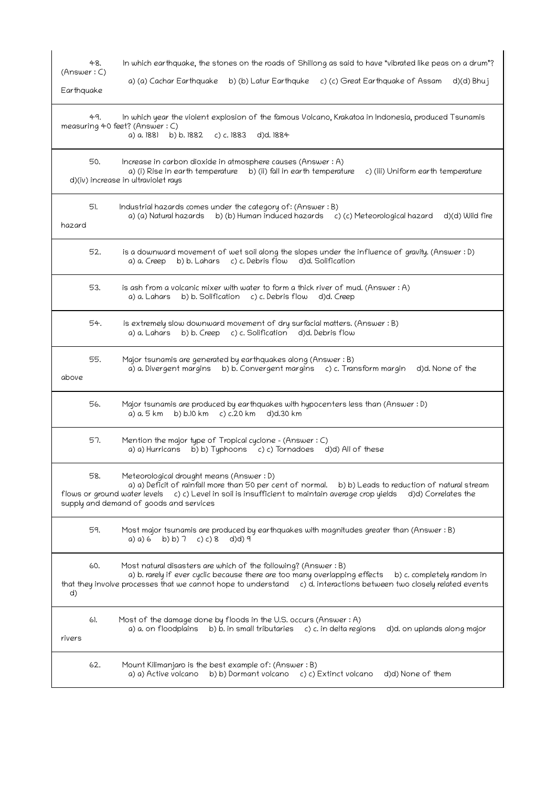| In which earthquake, the stones on the roads of Shillong as said to have "vibrated like peas on a drum"?<br>48.<br>(Answer: C)<br>a) (a) Cachar Earthquake<br>b) (b) Latur Earthquke c) (c) Great Earthquake of Assam<br>Earthquake                                                                          | d)(d) Bhuj                         |
|--------------------------------------------------------------------------------------------------------------------------------------------------------------------------------------------------------------------------------------------------------------------------------------------------------------|------------------------------------|
| 49.<br>In which year the violent explosion of the famous Volcano, Krakatoa in Indonesia, produced Tsunamis<br>measuring 40 feet? (Answer : C)<br>a) a. 1881<br>b) b. 1882<br>c) c. 1883<br>d)d. 1884                                                                                                         |                                    |
| 50.<br>Increase in carbon dioxide in atmosphere causes (Answer: A)<br>a) (i) Rise in earth temperature b) (ii) fall in earth temperature<br>d)(iv) increase in ultraviolet rays                                                                                                                              | c) (iii) Uniform earth temperature |
| 51.<br>Industrial hazards comes under the category of: (Answer: B)<br>a) (a) Natural hazards b) (b) Human induced hazards c) (c) Meteorological hazard<br>hazard                                                                                                                                             | d)(d) Wild fire                    |
| 52.<br>is a downward movement of wet soil along the slopes under the influence of gravity. (Answer: D)<br>c) c. Debris flow<br>d)d. Solification<br>b) b. Lahars<br>a) a. Creep                                                                                                                              |                                    |
| 53.<br>is ash from a volcanic mixer with water to form a thick river of mud. (Answer: A)<br>b) b. Solification<br>c) c. Debris flow<br>d)d. Creep<br>a) a. Lahars                                                                                                                                            |                                    |
| 54.<br>is extremely slow downward movement of dry surfacial matters. (Answer : B)<br>b) b. Creep c) c. Solification d)d. Debris flow<br>a) a. Lahars                                                                                                                                                         |                                    |
| 55.<br>Major tsunamis are generated by earthquakes along (Answer: B)<br>a) a. Divergent margins<br>b) b. Convergent margins c) c. Transform margin<br>above                                                                                                                                                  | d)d. None of the                   |
| 56.<br>Major tsunamis are produced by earthquakes with hypocenters less than (Answer: D)<br>a) a. 5 km<br>b) b.10 km<br>c) c.20 km<br>d)d.30 km                                                                                                                                                              |                                    |
| 57.<br>Mention the major type of Tropical cyclone - (Answer: C)<br>$\overline{b}$ ) b) Typhoons $\overline{c}$ ) c) Tornadoes<br>a) a) Hurricans<br>d)d) All of these                                                                                                                                        |                                    |
| 58.<br>Meteorological drought means (Answer : D)<br>a) a) Deficit of rainfall more than 50 per cent of normal. b) b) Leads to reduction of natural stream<br>flows or ground water levels c) c) Level in soil is insufficient to maintain average crop yields<br>supply and demand of goods and services     | d)d) Correlates the                |
| 59.<br>Most major tsunamis are produced by earthquakes with magnitudes greater than (Answer: B)<br>a) a) 6 b) b) 7 c) c) 8<br>d)d) 9                                                                                                                                                                         |                                    |
| 60.<br>Most natural disasters are which of the following? (Answer : B)<br>a) b. rarely if ever cyclic because there are too many overlapping effects b) c. completely random in<br>that they involve processes that we cannot hope to understand c) d. interactions between two closely related events<br>d) |                                    |
| 61.<br>Most of the damage done by floods in the U.S. occurs (Answer: A)<br>a) a. on floodplains<br>b) b. in small tributaries<br>c) c. in delta regions<br>rivers                                                                                                                                            | d)d. on uplands along major        |
| 62.<br>Mount Kilimanjaro is the best example of: (Answer: B)<br>a) a) Active volcano<br>b) b) Dormant volcano c) c) Extinct volcano                                                                                                                                                                          | d)d) None of them                  |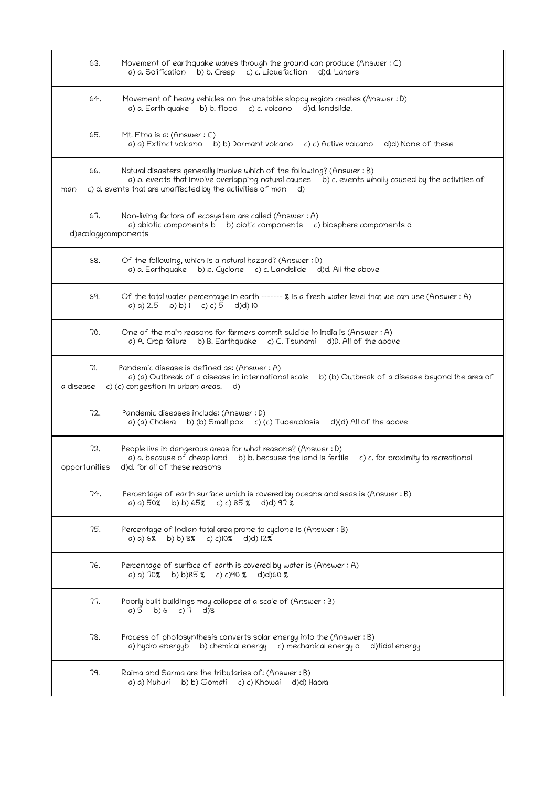| 63.                        | Movement of earthquake waves through the ground can produce (Answer: C)<br>a) a. Solification b) b. Creep c) c. Liquefaction<br>d)d. Lahars                                                                                                         |
|----------------------------|-----------------------------------------------------------------------------------------------------------------------------------------------------------------------------------------------------------------------------------------------------|
| 64.                        | Movement of heavy vehicles on the unstable sloppy region creates (Answer: D)<br>a) a. Earth quake b) b. flood c) c. volcano d)d. landslide.                                                                                                         |
| 65.                        | Mt. Etna is a: (Answer $: C$ )<br>a) a) Extinct volcano b) b) Dormant volcano c) c) Active volcano<br>d)d) None of these                                                                                                                            |
| 66.<br>man                 | Natural disasters generally involve which of the following? (Answer : B)<br>a) b. events that involve overlapping natural causes b) c. events wholly caused by the activities of<br>c) d. events that are unaffected by the activities of man<br>d) |
| 67.<br>d)ecologycomponents | Non-living factors of ecosystem are called (Answer: A)<br>a) abiotic components b b) biotic components c) biosphere components d                                                                                                                    |
| 68.                        | Of the following, which is a natural hazard? (Answer : D)<br>a) a. Earthquake b) b. Cyclone c) c. Landslide d)d. All the above                                                                                                                      |
| 69.                        | Of the total water percentage in earth ------ % is a fresh water level that we can use (Answer : A)<br>a) a) 2.5<br>b) b) $(c) c$ ) 5<br>$d$ $d$ $d$ $d$ $d$                                                                                        |
| 70.                        | One of the main reasons for farmers commit suicide in India is (Answer: A)<br>a) A. Crop failure b) B. Earthquake c) C. Tsunami d) D. All of the above                                                                                              |
| 71.<br>a disease           | Pandemic disease is defined as: (Answer: A)<br>a) (a) Outbreak of a disease in international scale<br>b) (b) Outbreak of a disease beyond the area of<br>c) (c) congestion in urban areas.<br>d)                                                    |
| 72.                        | Pandemic diseases include: (Answer: D)<br>a) (a) Cholera b) (b) Small pox c) (c) Tubercolosis<br>d)(d) All of the above                                                                                                                             |
| 73.                        | People live in dangerous areas for what reasons? (Answer : D)<br>a) a. because of cheap land b) b. because the land is fertile<br>c) c. for proximity to recreational<br>opportunities d)d. for all of these reasons                                |
| 74.                        | Percentage of earth surface which is covered by oceans and seas is (Answer : B)<br>b) b) $65\%$ c) c) $85\%$ d)d) $97\%$<br>a) a) 50%                                                                                                               |
| 75.                        | Percentage of Indian total area prone to cyclone is (Answer: B)<br>a) a) $6\%$ b) b) $8\%$ c) c) $0\%$ d)d) $12\%$                                                                                                                                  |
| 76.                        | Percentage of surface of earth is covered by water is (Answer: A)<br>a) a) $70\%$ b) b) 85 % c) c) 90 % d) d) 60 %                                                                                                                                  |
| 77.                        | Poorly built buildings may collapse at a scale of (Answer: B)<br>a) 5 b) 6 c) 7 d) 8                                                                                                                                                                |
| 78.                        | Process of photosynthesis converts solar energy into the (Answer: B)<br>a) hydro energyb b) chemical energy c) mechanical energy d d)tidal energy                                                                                                   |
| 79.                        | Raima and Sarma are the tributaries of: (Answer : B)<br>a) a) Muhuri<br>b) b) Gomati<br>c) c) Khowai<br>d)d) Haora                                                                                                                                  |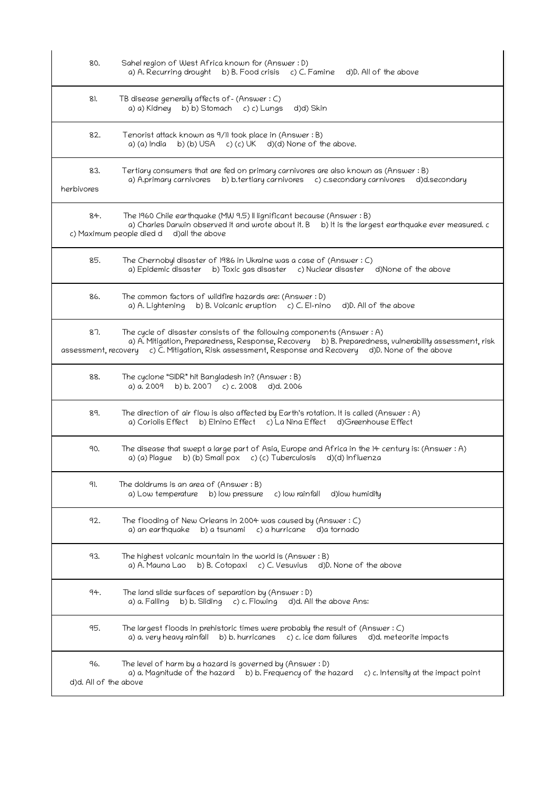| 80.                          | Sahel region of West Africa known for (Answer: D)<br>a) A. Recurring drought b) B. Food crisis c) C. Famine d) D. All of the above                                                                                                                                                       |
|------------------------------|------------------------------------------------------------------------------------------------------------------------------------------------------------------------------------------------------------------------------------------------------------------------------------------|
| 81.                          | TB disease generally affects of - (Answer : C)<br>b) b) Stomach c) c) Lungs<br>a) a) Kidney<br>d)d) Skin                                                                                                                                                                                 |
| 82.                          | Tenorist attack known as 9/11 took place in (Answer: B)<br>b) (b) USA c) (c) UK d)(d) None of the above.<br>a) (a) India                                                                                                                                                                 |
| 83.<br>herbivores            | Tertiary consumers that are fed on primary carnivores are also known as (Answer: B)<br>a) A.primary carnivores b) b.tertiary carnivores c) c.secondary carnivores d)d.secondary                                                                                                          |
| 84.                          | The 1960 Chile earthquake (MW 9.5) II lignificant because (Answer: B)<br>a) Charles Darwin observed it and wrote about it. B b) It is the largest earthquake ever measured. c<br>c) Maximum people died d<br>d)all the above                                                             |
| 85.                          | The Chernobyl disaster of 1986 in Ukraine was a case of (Answer: C)<br>a) Epidemic disaster b) Toxic gas disaster c) Nuclear disaster d) None of the above                                                                                                                               |
| 86.                          | The common factors of wildfire hazards are: (Answer : D)<br>a) A. Lightening b) B. Volcanic eruption c) C. El-nino<br>d)D. All of the above                                                                                                                                              |
| 87.                          | The cycle of disaster consists of the following components (Answer : A)<br>a) A. Mitigation, Preparedness, Response, Recovery b) B. Preparedness, vulnerability assessment, risk<br>assessment, recovery c) C. Mitigation, Risk assessment, Response and Recovery d)D. None of the above |
| 88.                          | The cyclone "SIDR" hit Bangladesh in? (Answer : B)<br>b) b. $2007$ c) c. $2008$<br>a) a. 2009<br>d)d. 2006                                                                                                                                                                               |
| 89.                          | The direction of air flow is also affected by Earth's rotation. It is called (Answer : A)<br>a) Coriolis Effect b) Elnino Effect c) La Nina Effect d) Greenhouse Effect                                                                                                                  |
| 90.                          | The disease that swept a large part of Asia, Europe and Africa in the 14 century is: (Answer : A)<br>b) (b) Small pox c) (c) Tuberculosis d)(d) Influenza<br>a) (a) Plague                                                                                                               |
| 91.                          | The doldrums is an area of (Answer $:B$ )<br>a) Low temperature<br>b) low pressure<br>c) low rainfall<br>d)low humidity                                                                                                                                                                  |
| 92.                          | The flooding of New Orleans in 2004 was caused by (Answer $:C$ )<br>b) a tsunami<br>a) an earthquake<br>c) a hurricane<br>d)a tornado                                                                                                                                                    |
| 93.                          | The highest volcanic mountain in the world is (Answer $:B)$<br>a) A. Mauna Lao<br>b) B. Cotopaxi<br>c) C. Vesuvius<br>d)D. None of the above                                                                                                                                             |
| 94.                          | The land slide surfaces of separation by (Answer: D)<br>b) b. Sliding c) c. Flowing d)d. All the above Ans:<br>a) a. Falling                                                                                                                                                             |
| 95.                          | The largest floods in prehistoric times were probably the result of (Answer $: C$ )<br>b) b. hurricanes<br>c) c. ice dam failures<br>d)d. meteorite impacts<br>a) a. very heavy rainfall                                                                                                 |
| 96.<br>d)d. All of the above | The level of harm by a hazard is governed by (Answer: D)<br>a) a. Magnitude of the hazard b) b. Frequency of the hazard<br>c) c. Intensity at the impact point                                                                                                                           |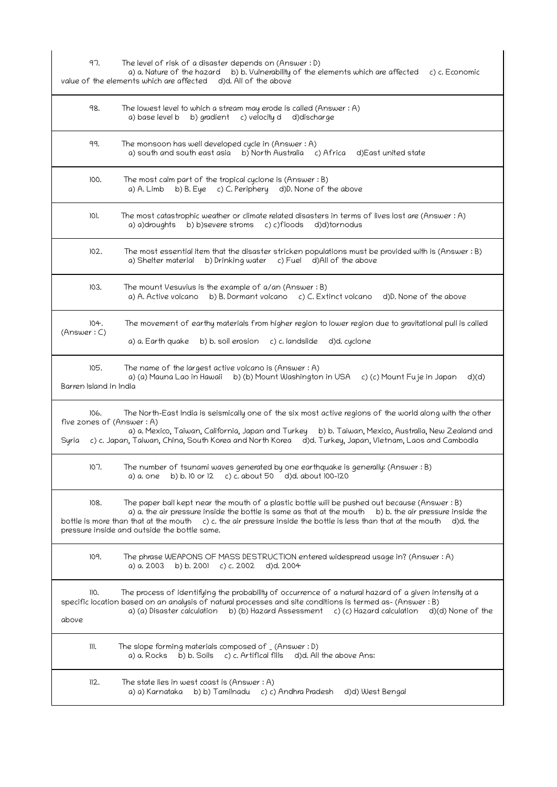| 97.                                        | The level of risk of a disaster depends on (Answer: D)<br>a) a. Nature of the hazard b) b. Vulnerability of the elements which are affected c) c. Economic<br>value of the elements which are affected d)d. All of the above                                                                                                                                                                     |
|--------------------------------------------|--------------------------------------------------------------------------------------------------------------------------------------------------------------------------------------------------------------------------------------------------------------------------------------------------------------------------------------------------------------------------------------------------|
| 98.                                        | The lowest level to which a stream may erode is called (Answer: A)<br>a) base level b b) gradient c) velocity d<br>d)discharge                                                                                                                                                                                                                                                                   |
| 99.                                        | The monsoon has well developed cycle in (Answer: A)<br>a) south and south east asia b) North Australia c) Africa d) East united state                                                                                                                                                                                                                                                            |
| 100.                                       | The most calm part of the tropical cyclone is (Answer: B)<br>b) B. Eye c) C. Periphery d)D. None of the above<br>a) A. Limb                                                                                                                                                                                                                                                                      |
| 101.                                       | The most catastrophic weather or climate related disasters in terms of lives lost are (Answer : A)<br>a) a)droughts<br>b) b)severe stroms c) c)floods d)d)tornodus                                                                                                                                                                                                                               |
| 102.                                       | The most essential item that the disaster stricken populations must be provided with is (Answer : B)<br>b) Drinking water<br>c) Fuel d)All of the above<br>a) Shelter material                                                                                                                                                                                                                   |
| 103.                                       | The mount Vesuvius is the example of $a$ /an (Answer: B)<br>a) A. Active volcano b) B. Dormant volcano c) C. Extinct volcano<br>d)D. None of the above                                                                                                                                                                                                                                           |
| 104.<br>(Answer: C)                        | The movement of earthy materials from higher region to lower region due to gravitational pull is called<br>a) a. Earth quake<br>b) b. soil erosion<br>c) c. landslide<br>d)d. cyclone                                                                                                                                                                                                            |
| 105.<br>Barren Island in India             | The name of the largest active volcano is (Answer : A)<br>a) (a) Mauna Lao in Hawaii b) (b) Mount Washington in USA c) (c) Mount Fuje in Japan<br>d)(d)                                                                                                                                                                                                                                          |
| 106.<br>five zones of (Answer: A)<br>Syria | The North-East India is seismically one of the six most active regions of the world along with the other<br>a) a. Mexico, Taiwan, California, Japan and Turkey<br>b) b. Taiwan, Mexico, Australia, New Zealand and<br>c) c. Japan, Taiwan, China, South Korea and North Korea<br>d)d. Turkey, Japan, Vietnam, Laos and Cambodia                                                                  |
| 107.                                       | The number of tsunami waves generated by one earthquake is generally: (Answer: B)<br>b) b. 10 or 12 c) c. about $50$ d)d. about $100-120$<br>a) a. one                                                                                                                                                                                                                                           |
| 108.                                       | The paper ball kept near the mouth of a plastic bottle will be pushed out because (Answer : B)<br>a) a. the air pressure inside the bottle is same as that at the mouth b) b. the air pressure inside the<br>bottle is more than that at the mouth $\epsilon$ ) c. the air pressure inside the bottle is less than that at the mouth<br>d)d. the<br>pressure inside and outside the bottle same. |
| 109.                                       | The phrase WEAPONS OF MASS DESTRUCTION entered widespread usage in? (Answer : A)<br>a) a. 2003<br>b) b. 200 c) c. 2002<br>d)d. 2004                                                                                                                                                                                                                                                              |
| 110.<br>above                              | The process of identifying the probability of occurrence of a natural hazard of a given intensity at a<br>specific location based on an analysis of natural processes and site conditions is termed as- (Answer : B)<br>a) (a) Disaster calculation b) (b) Hazard Assessment c) (c) Hazard calculation d)(d) None of the                                                                         |
| ]]'.                                       | The slope forming materials composed of _(Answer: D)<br>a) a. Rocks b) b. Soils c) c. Artifical fills<br>d)d. All the above Ans:                                                                                                                                                                                                                                                                 |
| 112.                                       | The state lies in west coast is (Answer $:A$ )<br>a) a) Karnataka     b) b) Tamilnadu     c) c) Andhra Pradesh<br>d)d) West Bengal                                                                                                                                                                                                                                                               |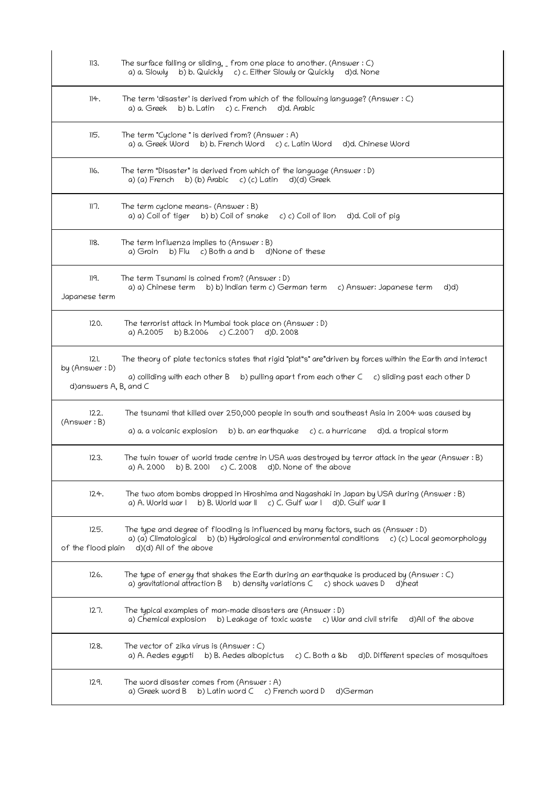| 113.                                            | The surface falling or sliding, $\overline{\ }$ from one place to another. (Answer : C)<br>b) b. Quickly c) c. Either Slowly or Quickly d)d. None<br>a) a. Slowly                                                     |
|-------------------------------------------------|-----------------------------------------------------------------------------------------------------------------------------------------------------------------------------------------------------------------------|
| 114.                                            | The term 'disaster' is derived from which of the following language? (Answer : C)<br>a) a. Greek b) b. Latin c) c. French d)d. Arabic                                                                                 |
| 115.                                            | The term "Cyclone" is derived from? (Answer: A)<br>b) b. French Word c) c. Latin Word d)d. Chinese Word<br>a) a. Greek Word                                                                                           |
| 116.                                            | The term "Disaster" is derived from which of the language (Answer: D)<br>a) (a) French b) (b) Arabic c) (c) Latin d) (d) Greek                                                                                        |
| 117.                                            | The term cyclone means- (Answer: B)<br>a) a) Coil of tiger b) b) Coil of snake<br>c) c) Coil of lion d)d. Coli of pig                                                                                                 |
| 118.                                            | The term Influenza implies to (Answer: B)<br>b) Flu c) Both a and b d) None of these<br>a) Groin                                                                                                                      |
| 119.<br>Japanese term                           | The term Tsunami is coined from? (Answer : D)<br>a) a) Chinese term b) b) Indian term c) German term c) Answer: Japanese term<br>d)d)                                                                                 |
| 120.                                            | The terrorist attack in Mumbai took place on (Answer: D)<br>b) B.2006 c) C.2007 d)D. 2008<br>a) A.2005                                                                                                                |
| 121.<br>by (Answer: D)<br>d)answers A, B, and C | The theory of plate tectonics states that rigid "plat"s" are"driven by forces within the Earth and interact<br>a) colliding with each other B b) pulling apart from each other C c) sliding past each other D         |
| 122.<br>(Answer: B)                             | The tsunami that killed over 250,000 people in south and southeast Asia in 2004 was caused by<br>a) a. a volcanic explosion<br>b) b. an earthquake $c$ ) c. a hurricane<br>d)d. a tropical storm                      |
|                                                 |                                                                                                                                                                                                                       |
| 123.                                            | The twin tower of world trade centre in USA was destroyed by terror attack in the year (Answer: B)<br>a) A. 2000 b) B. 2001 c) C. 2008 d)D. None of the above                                                         |
| 124.                                            | The two atom bombs dropped in Hiroshima and Nagashaki in Japan by USA during (Answer : B)<br>b) B. World war II<br>c) C. Gulf war I d)D. Gulf war II<br>a) A. World war I                                             |
| 125.<br>of the flood plain                      | The type and degree of flooding is influenced by many factors, such as (Answer : D)<br>b) (b) Hydrological and environmental conditions c) (c) Local geomorphology<br>a) (a) Climatological<br>d)(d) All of the above |
| 126.                                            | The type of energy that shakes the Earth during an earthquake is produced by (Answer: $C$ )<br>a) gravitational attraction B b) density variations C c) shock waves D<br>d)heat                                       |
| 127.                                            | The typical examples of man-made disasters are (Answer : D)<br>a) Chemical explosion<br>b) Leakage of toxic waste c) War and civil strife d) All of the above                                                         |
| 128.                                            | The vector of zika virus is (Answer $: C$ )<br>a) A. Aedes egypti<br>b) B. Aedes albopictus<br>c) $C.$ Both a &b<br>d)D. Different species of mosquitoes                                                              |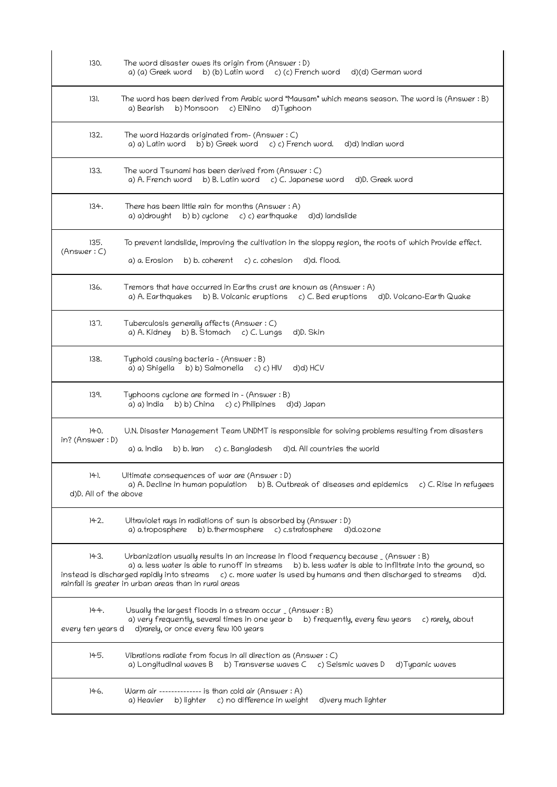| 130.                          | The word disaster owes its origin from (Answer : D)<br>b) (b) Latin word c) (c) French word<br>a) (a) Greek word<br>d)(d) German word                                                                                                                                                                                                                                                     |
|-------------------------------|-------------------------------------------------------------------------------------------------------------------------------------------------------------------------------------------------------------------------------------------------------------------------------------------------------------------------------------------------------------------------------------------|
| $ 3 $ .                       | The word has been derived from Arabic word "Mausam" which means season. The word is (Answer: B)<br>b) Monsoon c) ElNino<br>a) Bearish<br>d)Typhoon                                                                                                                                                                                                                                        |
| 132.                          | The word Hazards originated from- (Answer: C)<br>b) b) Greek word c) c) French word.<br>a) a) Latin word<br>d)d) Indian word                                                                                                                                                                                                                                                              |
| 133.                          | The word Tsunami has been derived from (Answer: C)<br>a) A. French word b) B. Latin word<br>c) C. Japanese word<br>d)D. Greek word                                                                                                                                                                                                                                                        |
| 134.                          | There has been little rain for months (Answer: A)<br>b) b) cyclone c) c) earthquake<br>d)d) landslide<br>a) a)drought                                                                                                                                                                                                                                                                     |
| 135.<br>(Answer: C)           | To prevent landslide, improving the cultivation in the sloppy region, the roots of which Provide effect.<br>b) b. coherent c) c. cohesion<br>d)d. flood.<br>a) a. Erosion                                                                                                                                                                                                                 |
| 136.                          | Tremors that have occurred in Earths crust are known as (Answer: A)<br>a) A. Earthquakes b) B. Volcanic eruptions c) C. Bed eruptions<br>d)D. Volcano-Earth Quake                                                                                                                                                                                                                         |
| 137.                          | Tuberculosis generally affects (Answer: C)<br>a) A. Kidney b) B. Stomach c) C. Lungs<br>d)D. Skin                                                                                                                                                                                                                                                                                         |
| 138.                          | Typhoid causing bacteria – (Answer : B)<br>a) a) Shigella<br>b) b) Salmonella<br>d)d) HCV<br>c) c) HIV                                                                                                                                                                                                                                                                                    |
| 139.                          | Typhoons cyclone are formed in - (Answer: B)<br>a) a) India<br>b) b) China c) c) Philipines<br>d)d) Japan                                                                                                                                                                                                                                                                                 |
| 140.<br>$in?$ (Answer $: D)$  | U.N. Disaster Management Team UNDMT is responsible for solving problems resulting from disasters<br>d)d. All countries the world<br>a) a. India<br>b) b. Iran<br>c) c. Bangladesh                                                                                                                                                                                                         |
| 141.<br>d)D. All of the above | Ultimate consequences of war are (Answer: D)<br>a) A. Decline in human population b) B. Outbreak of diseases and epidemics c) C. Rise in refugees                                                                                                                                                                                                                                         |
| 142.                          | Ultraviolet rays in radiations of sun is absorbed by (Answer : D)<br>b) b.thermosphere c) c.stratosphere<br>a) a.troposphere<br>d)d.ozone                                                                                                                                                                                                                                                 |
| 143.                          | Urbanization usually results in an increase in flood frequency because _ (Answer : B)<br>a) a. less water is able to runoff in streams<br>b) b. less water is able to infiltrate into the ground, so<br>instead is discharged rapidly into streams $c$ ) c. more water is used by humans and then discharged to streams<br>d)d.<br>rainfall is greater in urban areas than in rural areas |
| 144.<br>every ten years d     | Usually the largest floods in a stream occur $($ (Answer $:$ B)<br>a) very frequently, several times in one year b<br>b) frequently, every few years<br>c) rarely, about<br>d)rarely, or once every few 100 years                                                                                                                                                                         |
| 145.                          | Vibrations radiate from focus in all direction as (Answer : C)<br>a) Longitudinal waves B b) Transverse waves C c) Seismic waves D<br>d)Typanic waves                                                                                                                                                                                                                                     |
| 146.                          | Warm air -------------- is than cold air (Answer : A)<br>b) lighter c) no difference in weight<br>d)very much lighter<br>a) Heavier                                                                                                                                                                                                                                                       |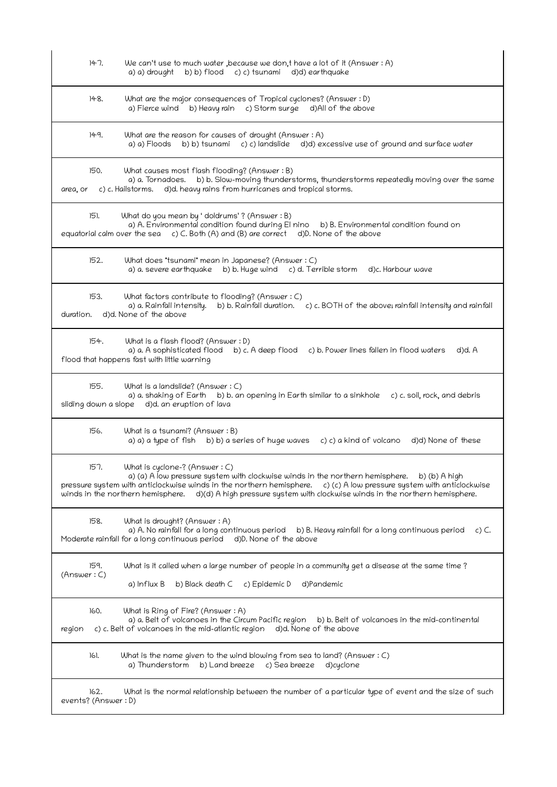| 147.<br>We can't use to much water , because we don, t have a lot of it (Answer: A)<br>b) b) flood c) c) tsunami d)d) earthquake<br>a) a) drought                                                                                                                                                                                                                                       |         |
|-----------------------------------------------------------------------------------------------------------------------------------------------------------------------------------------------------------------------------------------------------------------------------------------------------------------------------------------------------------------------------------------|---------|
| What are the major consequences of Tropical cyclones? (Answer : D)<br>148.<br>a) Fierce wind b) Heavy rain c) Storm surge d) All of the above                                                                                                                                                                                                                                           |         |
| 149.<br>What are the reason for causes of drought (Answer: A)<br>b) b) tsunami c) c) landslide d)d) excessive use of ground and surface water<br>a) a) Floods                                                                                                                                                                                                                           |         |
| 150.<br>What causes most flash flooding? (Answer : B)<br>a) a. Tornadoes. b) b. Slow-moving thunderstorms, thunderstorms repeatedly moving over the same<br>d)d. heavy rains from hurricanes and tropical storms.<br>c) c. Hailstorms.<br>area, or                                                                                                                                      |         |
| 151.<br>What do you mean by 'doldrums' ? (Answer : B)<br>a) A. Environmental condition found during El nino<br>b) B. Environmental condition found on<br>equatorial calm over the sea c) C. Both (A) and (B) are correct<br>d)D. None of the above                                                                                                                                      |         |
| 152.<br>What does "tsunami" mean in Japanese? (Answer : C)<br>a) a. severe earthquake b) b. Huge wind c) d. Terrible storm<br>d)c. Harbour wave                                                                                                                                                                                                                                         |         |
| 153.<br>What factors contribute to flooding? (Answer : C)<br>a) a. Rainfall intensity. b) b. Rainfall duration. c) c. BOTH of the above; rainfall intensity and rainfall<br>d)d. None of the above<br>duration.                                                                                                                                                                         |         |
| What is a flash flood? (Answer : D)<br>154.<br>a) a. A sophisticated flood b) c. A deep flood c) b. Power lines fallen in flood waters<br>d)d. A<br>flood that happens fast with little warning                                                                                                                                                                                         |         |
| 155.<br>What is a landslide? (Answer : C)<br>a) a. shaking of Earth b) b. an opening in Earth similar to a sinkhole c) c. soil, rock, and debris<br>sliding down a slope d)d. an eruption of lava                                                                                                                                                                                       |         |
| 156.<br>What is a tsunami? (Answer : B)<br>a) a) a type of fish b) b) a series of huge waves c) c) a kind of volcano<br>d)d) None of these                                                                                                                                                                                                                                              |         |
| 157.<br>What is cyclone-? (Answer : C)<br>a) (a) A low pressure system with clockwise winds in the northern hemisphere.<br>b) (b) A high<br>pressure system with anticlockwise winds in the northern hemisphere.<br>c) (c) A low pressure system with anticlockwise<br>winds in the northern hemisphere. (d)(d) A high pressure system with clockwise winds in the northern hemisphere. |         |
| 158.<br>What is drought? (Answer : A)<br>a) A. No rainfall for a long continuous period b) B. Heavy rainfall for a long continuous period<br>Moderate rainfall for a long continuous period d)D. None of the above                                                                                                                                                                      | $c)$ C. |
| 159.<br>What is it called when a large number of people in a community get a disease at the same time ?<br>(Answer: C)<br>b) Black death C<br>d)Pandemic<br>a) Influx B<br>c) Epidemic D                                                                                                                                                                                                |         |
| 160.<br>What is Ring of Fire? (Answer : A)<br>a) a. Belt of volcanoes in the Circum Pacific region b) b. Belt of volcanoes in the mid-continental<br>c) c. Belt of volcanoes in the mid-atlantic region d)d. None of the above<br>region                                                                                                                                                |         |
| 161.<br>What is the name given to the wind blowing from sea to land? (Answer $:C$ )<br>a) Thunderstorm b) Land breeze c) Sea breeze d)cyclone                                                                                                                                                                                                                                           |         |
| 162.<br>What is the normal relationship between the number of a particular type of event and the size of such<br>events? (Answer: D)                                                                                                                                                                                                                                                    |         |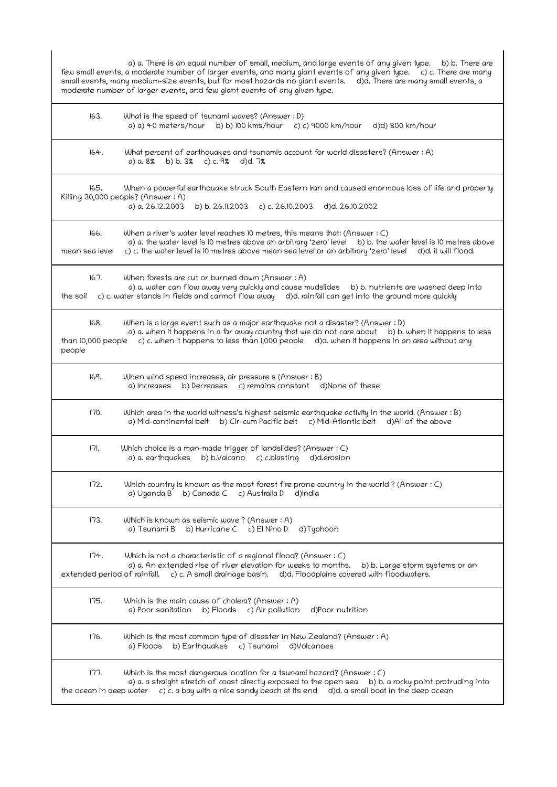| a) a. There is an equal number of small, medium, and large events of any given type. b) b. There are<br>few small events, a moderate number of larger events, and many giant events of any given type. [c]c. There are many<br>small events, many medium-size events, but for most hazards no giant events. d)d. There are many small events, a<br>moderate number of larger events, and few giant events of any given type. |                                      |
|------------------------------------------------------------------------------------------------------------------------------------------------------------------------------------------------------------------------------------------------------------------------------------------------------------------------------------------------------------------------------------------------------------------------------|--------------------------------------|
| What is the speed of tsunami waves? (Answer : D)<br>163.<br>a) a) 40 meters/hour<br>b) b) 100 kms/hour c) c) 9000 km/hour<br>d)d) 800 km/hour                                                                                                                                                                                                                                                                                |                                      |
| 164.<br>What percent of earthquakes and tsunamis account for world disasters? (Answer: A)<br>b) b. $3\%$ c) c. 9%<br>$d$ d)d. $7%$<br>a) a. 8%                                                                                                                                                                                                                                                                               |                                      |
| 165.<br>When a powerful earthquake struck South Eastern Iran and caused enormous loss of life and property<br>Killing 30,000 people? (Answer: A)<br>a) a. 26.12.2003<br>b) b. 26.11.2003<br>c) c. 26.10.2003 d)d. 26.10.2002                                                                                                                                                                                                 |                                      |
| 166.<br>When a river's water level reaches 10 metres, this means that: (Answer : C)<br>a) a. the water level is 10 metres above an arbitrary 'zero' level b) b. the water level is 10 metres above<br>c) c. the water level is 10 metres above mean sea level or an arbitrary 'zero' level d)d. it will flood.<br>mean sea level                                                                                             |                                      |
| 167.<br>When forests are cut or burned down (Answer: A)<br>a) a. water can flow away very quickly and cause mudslides<br>c) c. water stands in fields and cannot flow away d)d. rainfall can get into the ground more quickly<br>the soil                                                                                                                                                                                    | b) b. nutrients are washed deep into |
| 168.<br>When is a large event such as a major earthquake not a disaster? (Answer : D)<br>a) a. when it happens in a far away country that we do not care about b) b. when it happens to less<br>than 10,000 people c) c. when it happens to less than 1,000 people d)d. when it happens in an area without any<br>people                                                                                                     |                                      |
| 169.<br>When wind speed increases, air pressure s (Answer: B)<br>b) Decreases c) remains constant d) None of these<br>a) Increases                                                                                                                                                                                                                                                                                           |                                      |
| 170.<br>Which area in the world witness's highest seismic earthquake activity in the world. (Answer : B)<br>b) Cir-cum Pacific belt c) Mid-Atlantic belt d) All of the above<br>a) Mid-continental belt                                                                                                                                                                                                                      |                                      |
| 77<br>Which choice is a man-made trigger of landslides? (Answer : C)<br>b) b.Valcano<br>a) a. earthquakes<br>c) c.blasting d)d.erosion                                                                                                                                                                                                                                                                                       |                                      |
| 172.<br>Which country is known as the most forest fire prone country in the world ? (Answer : C)<br>b) Canada C<br>c) Australia D<br>d)India<br>a) Uganda B                                                                                                                                                                                                                                                                  |                                      |
| 173.<br>Which is known as seismic wave? (Answer: A)<br>b) Hurricane C c) El Nino D<br>d)Typhoon<br>a) Tsunami B                                                                                                                                                                                                                                                                                                              |                                      |
| 174.<br>Which is not a characteristic of a regional flood? (Answer : C)<br>a) a. An extended rise of river elevation for weeks to months.<br>extended period of rainfall.<br>c) c. A small drainage basin. d)d. Floodplains covered with floodwaters.                                                                                                                                                                        | b) b. Large storm systems or an      |
| 175.<br>Which is the main cause of cholera? (Answer: A)<br>a) Poor sanitation b) Floods c) Air pollution<br>d)Poor nutrition                                                                                                                                                                                                                                                                                                 |                                      |
| 176.<br>Which is the most common type of disaster in New Zealand? (Answer : A)<br>b) Earthquakes c) Tsunami<br>a) Floods<br>d)Volcanoes                                                                                                                                                                                                                                                                                      |                                      |
| 177.<br>Which is the most dangerous location for a tsunami hazard? (Answer : $\circ$ )<br>a) a. a straight stretch of coast directly exposed to the open sea b) b. a rocky point protruding into<br>c) c. a bay with a nice sandy beach at its end<br>d)d. a small boat in the deep ocean<br>the ocean in deep water                                                                                                         |                                      |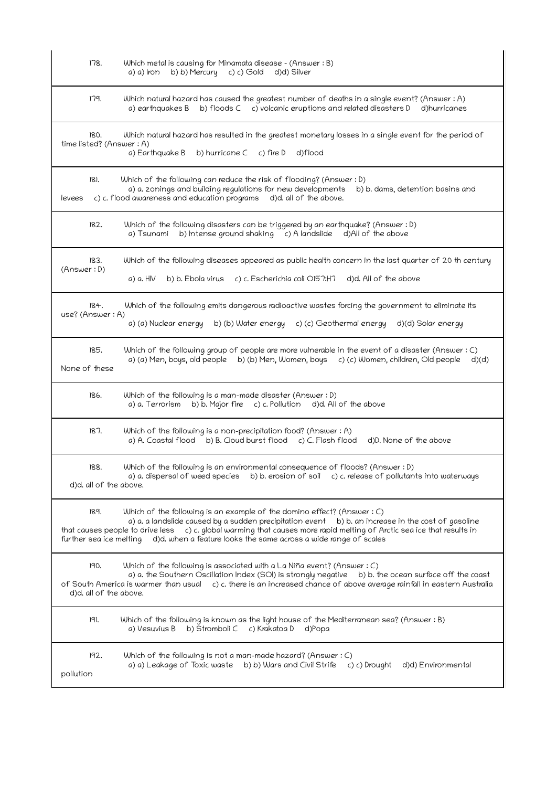| 178.                             | Which metal is causing for Minamata disease - (Answer : B)<br>b) b) Mercury c) c) Gold<br>d)d) Silver<br>a) a) Iron                                                                                                                                                                                                                                                            |
|----------------------------------|--------------------------------------------------------------------------------------------------------------------------------------------------------------------------------------------------------------------------------------------------------------------------------------------------------------------------------------------------------------------------------|
| 179.                             | Which natural hazard has caused the greatest number of deaths in a single event? (Answer: A)<br>b) floods C c) volcanic eruptions and related disasters D<br>a) earthquakes B<br>d)hurricanes                                                                                                                                                                                  |
| 180.<br>time listed? (Answer: A) | Which natural hazard has resulted in the greatest monetary losses in a single event for the period of<br>a) Earthquake B<br>b) hurricane C<br>c) fire D<br>d)flood                                                                                                                                                                                                             |
| 181.<br>levees                   | Which of the following can reduce the risk of flooding? (Answer : D)<br>a) a. zonings and building regulations for new developments<br>b) b. dams, detention basins and<br>c) c. flood awareness and education programs<br>d)d. all of the above.                                                                                                                              |
| 182.                             | Which of the following disasters can be triggered by an earthquake? (Answer : D)<br>b) Intense ground shaking c) A landslide d) All of the above<br>a) Tsunami                                                                                                                                                                                                                 |
| 183.<br>(Answer: D)              | Which of the following diseases appeared as public health concern in the last quarter of 20 th century<br>a) a. HIV<br>b) b. Ebola virus c) c. Escherichia coli O157:H7<br>d)d. All of the above                                                                                                                                                                               |
| 184.<br>use? (Answer: A)         | Which of the following emits dangerous radioactive wastes forcing the government to eliminate its<br>b) (b) Water energy c) (c) Geothermal energy<br>a) (a) Nuclear energy<br>d)(d) Solar energy                                                                                                                                                                               |
| 185.<br>None of these            | Which of the following group of people are more vulnerable in the event of a disaster (Answer: C)<br>a) (a) Men, boys, old people b) (b) Men, Women, boys c) (c) Women, children, Old people<br>d)(d)                                                                                                                                                                          |
| 186.                             | Which of the following is a man-made disaster (Answer: D)<br>b) b. Major fire c) c. Pollution d)d. All of the above<br>a) a. Terrorism                                                                                                                                                                                                                                         |
| 187.                             | Which of the following is a non-precipitation food? (Answer: A)<br>a) A. Coastal flood b) B. Cloud burst flood<br>c) C. Flash flood<br>d)D. None of the above                                                                                                                                                                                                                  |
| 188.<br>d)d. all of the above.   | Which of the following is an environmental consequence of floods? (Answer : D)<br>a) a. dispersal of weed species<br>b) b. erosion of soil $\epsilon$ ) c. release of pollutants into waterways                                                                                                                                                                                |
| 189.<br>further sea ice melting  | Which of the following is an example of the domino effect? (Answer $: C$ )<br>a) a. a landslide caused by a sudden precipitation event b) b. an increase in the cost of gasoline<br>that causes people to drive less c) c. global warming that causes more rapid melting of Arctic sea ice that results in<br>d)d. when a feature looks the same across a wide range of scales |
| 190.<br>d)d. all of the above.   | Which of the following is associated with a La Niña event? (Answer $: C$ )<br>a) a. the Southern Oscillation Index (SOI) is strongly negative b) b. the ocean surface off the coast<br>of South America is warmer than usual c) c. there is an increased chance of above average rainfall in eastern Australia                                                                 |
| 191.                             | Which of the following is known as the light house of the Mediterranean sea? (Answer : B)<br>b) Stromboli C<br>c) Krakatoa D<br>a) Vesuvius B<br>d)Popa                                                                                                                                                                                                                        |
| 192.<br>pollution                | Which of the following is not a man-made hazard? (Answer $: C$ )<br>a) a) Leakage of Toxic waste b) b) Wars and Civil Strife<br>c) c) Drought<br>d)d) Environmental                                                                                                                                                                                                            |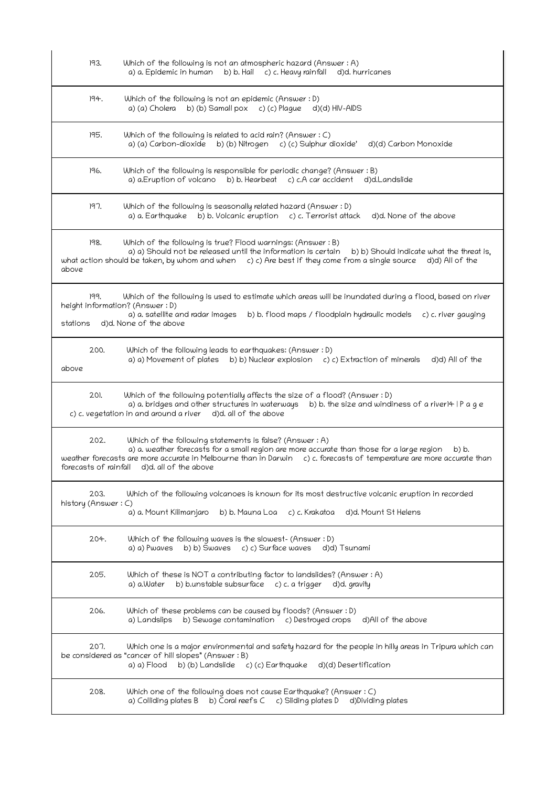| 193.                        | Which of the following is not an atmospheric hazard (Answer : A)<br>b) b. Hail c) c. Heavy rainfall<br>a) a. Epidemic in human<br>d)d. hurricanes                                                                                                                                                                                       |
|-----------------------------|-----------------------------------------------------------------------------------------------------------------------------------------------------------------------------------------------------------------------------------------------------------------------------------------------------------------------------------------|
| 194.                        | Which of the following is not an epidemic (Answer : D)<br>b) (b) Samall pox c) (c) Plague d)(d) HIV-AIDS<br>a) (a) Cholera                                                                                                                                                                                                              |
| 195.                        | Which of the following is related to acid rain? (Answer $: C$ )<br>b) (b) Nitrogen<br>a) (a) Carbon-dioxide<br>c) (c) Sulphur dioxide'<br>d)(d) Carbon Monoxide                                                                                                                                                                         |
| 196.                        | Which of the following is responsible for periodic change? (Answer : B)<br>b) b. Hearbeat c) c.A car accident<br>a) a.Eruption of volcano<br>d)d.Landslide                                                                                                                                                                              |
| 197.                        | Which of the following is seasonally related hazard (Answer: D)<br>a) a. Earthquake b) b. Volcanic eruption c) c. Terrorist attack<br>d)d. None of the above                                                                                                                                                                            |
| 198.<br>above               | Which of the following is true? Flood warnings: (Answer : B)<br>a) a) Should not be released until the information is certain<br>b) b) Should indicate what the threat is,<br>what action should be taken, by whom and when $c) c)$ Are best if they come from a single source d)d) All of the                                          |
| 199.<br>stations            | Which of the following is used to estimate which areas will be inundated during a flood, based on river<br>height information? (Answer: D)<br>a) a. satellite and radar images<br>b) b. flood maps / floodplain hydraulic models<br>c) c. river gauging<br>d)d. None of the above                                                       |
| 200.<br>above               | Which of the following leads to earthquakes: (Answer: D)<br>a) a) Movement of plates b) b) Nuclear explosion c) c) Extraction of minerals<br>d)d) All of the                                                                                                                                                                            |
| 201.                        | Which of the following potentially affects the size of a flood? (Answer : D)<br>a) a. bridges and other structures in waterways<br>b) b. the size and windiness of a river $4 \mid P \cap Q$ e<br>c) c. vegetation in and around a river<br>d)d. all of the above                                                                       |
| 202.                        | Which of the following statements is false? (Answer : A)<br>a) a. weather forecasts for a small region are more accurate than those for a large region<br>b) b.<br>weather forecasts are more accurate in Melbourne than in Darwin c) c. forecasts of temperature are more accurate than<br>forecasts of rainfall d)d. all of the above |
| 203.<br>history (Answer: C) | Which of the following volcanoes is known for its most destructive volcanic eruption in recorded<br>a) a. Mount Kilimanjaro<br>b) b. Mauna Loa<br>c) c. Krakatoa<br>d)d. Mount St Helens                                                                                                                                                |
| 204.                        | Which of the following waves is the slowest- (Answer : D)<br>b) b) Swaves c) c) Surface waves<br>a) a) Pwaves<br>d)d) Tsunami                                                                                                                                                                                                           |
| 205.                        | Which of these is NOT a contributing factor to landslides? (Answer : A)<br>b) b.unstable subsurface c) c. a trigger d)d. gravity<br>a) a.Water                                                                                                                                                                                          |
| 206.                        | Which of these problems can be caused by floods? (Answer : D)<br>b) Sewage contamination c) Destroyed crops<br>d)All of the above<br>a) Landslips                                                                                                                                                                                       |
| 207.                        | Which one is a major environmental and safety hazard for the people in hilly areas in Tripura which can<br>be considered as "cancer of hill slopes" (Answer: B)<br>a) a) Flood b) (b) Landslide c) (c) Earthquake<br>d)(d) Desertification                                                                                              |
| 208.                        | Which one of the following does not cause Earthquake? (Answer : C)<br>b) Coral reefs C c) Sliding plates D<br>a) Colliding plates B<br>d)Dividing plates                                                                                                                                                                                |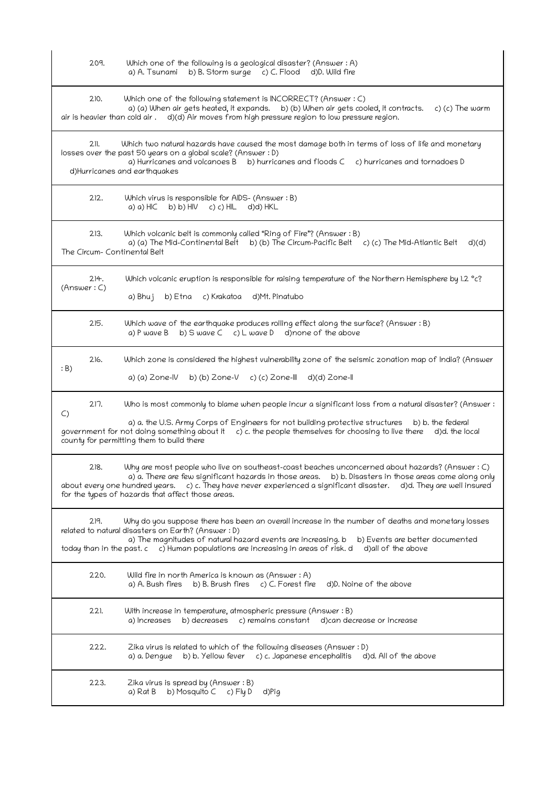| 209.                                 | Which one of the following is a geological disaster? (Answer : A)<br>b) B. Storm surge c) C. Flood d)D. Wild fire<br>a) A. Tsunami                                                                                                                                                                                                                                                          |
|--------------------------------------|---------------------------------------------------------------------------------------------------------------------------------------------------------------------------------------------------------------------------------------------------------------------------------------------------------------------------------------------------------------------------------------------|
| 210.                                 | Which one of the following statement is INCORRECT? (Answer : C)<br>a) (a) When air gets heated, it expands.<br>b) (b) When air gets cooled, it contracts.<br>c) (c) The warm<br>air is heavier than cold air . d)(d) Air moves from high pressure region to low pressure region.                                                                                                            |
| $2$ ll.                              | Which two natural hazards have caused the most damage both in terms of loss of life and monetary<br>losses over the past 50 years on a global scale? (Answer : D)<br>a) Hurricanes and volcanoes B<br>b) hurricanes and floods C c) hurricanes and tornadoes D<br>d)Hurricanes and earthquakes                                                                                              |
| 212.                                 | Which virus is responsible for AIDS- (Answer: B)<br>a) a) $H(C \t b) b$ ) $H(V \t c) c$ ) $H(L \t d) d$ ) $HKL$                                                                                                                                                                                                                                                                             |
| 213.<br>The Circum- Continental Belt | Which volcanic belt is commonly called "Ring of Fire"? (Answer : B)<br>a) (a) The Mid-Continental Belt b) (b) The Circum-Pacific Belt c) (c) The Mid-Atlantic Belt<br>d)(d)                                                                                                                                                                                                                 |
| 214.<br>(Answer: C)                  | Which volcanic eruption is responsible for raising temperature of the Northern Hemisphere by 1.2 °c?<br>a) Bhuj<br>b) Etna c) Krakatoa<br>d)Mt. Pinatubo                                                                                                                                                                                                                                    |
| 215.                                 | Which wave of the earthquake produces rolling effect along the surface? (Answer: B)<br>b) $S$ wave $C$ c) $L$ wave $D$ d) none of the above<br>a) P wave B                                                                                                                                                                                                                                  |
| 216.<br>: B)                         | Which zone is considered the highest vulnerability zone of the seismic zonation map of India? (Answer<br>a) (a) Zone-IV<br>b) (b) $2$ one- $V$<br>c) (c) Zone-III d)(d) Zone-II                                                                                                                                                                                                             |
| 217.<br>$\mathsf{C}$                 | Who is most commonly to blame when people incur a significant loss from a natural disaster? (Answer :<br>a) a. the U.S. Army Corps of Engineers for not building protective structures<br>b) b. the federal<br>government for not doing something about it $\phantom{a}$ c) c. the people themselves for choosing to live there d)d. the local<br>county for permitting them to build there |
| 218.                                 | Why are most people who live on southeast-coast beaches unconcerned about hazards? (Answer : C)<br>a) a. There are few significant hazards in those areas. b) b. Disasters in those areas come along only<br>c) c. They have never experienced a significant disaster. d)d. They are well insured<br>about every one hundred years.<br>for the types of hazards that affect those areas.    |
| 219.                                 | Why do you suppose there has been an overall increase in the number of deaths and monetary losses<br>related to natural disasters on Earth? (Answer : D)<br>a) The magnitudes of natural hazard events are increasing. b<br>b) Events are better documented<br>today than in the past. c c) Human populations are increasing in areas of risk. d<br>d)all of the above                      |
| 220.                                 | Wild fire in north America is known as (Answer : A)<br>a) A. Bush fires<br>b) B. Brush fires $c$ ) C. Forest fire<br>d)D. Noine of the above                                                                                                                                                                                                                                                |
| 221.                                 | With increase in temperature, atmospheric pressure (Answer : B)<br>b) decreases<br>c) remains constant d) can decrease or increase<br>a) Increases                                                                                                                                                                                                                                          |
| 222.                                 | Zika virus is related to which of the following diseases (Answer : D)<br>b) b. Yellow fever c) c. Japanese encephalitis<br>d)d. All of the above<br>a) a. Dengue                                                                                                                                                                                                                            |
| 223.                                 | Zika virus is spread by (Answer : B)<br>b) Mosquito C c) Fly D<br>d)Pig<br>a) Rat B                                                                                                                                                                                                                                                                                                         |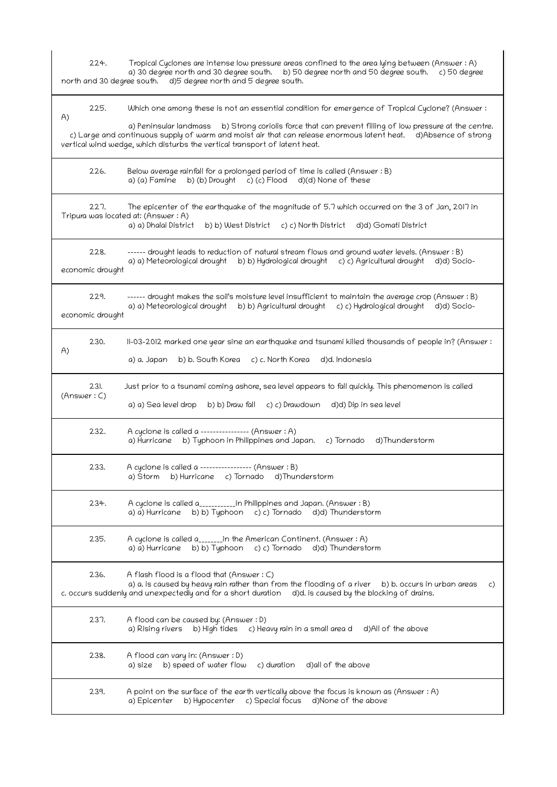224. Tropical Cyclones are intense low pressure areas confined to the area lying between (Answer : A) a) 30 degree north and 30 degree south. b) 50 degree north and 50 degree south. c) 50 degree north and 30 degree south. d)5 degree north and 5 degree south. 225. Which one among these is not an essential condition for emergence of Tropical Cyclone? (Answer : A) a) Peninsular landmass b) Strong coriolis force that can prevent filling of low pressure at the centre. c) Large and continuous supply of warm and moist air that can release enormous latent heat. d)Absence of strong vertical wind wedge, which disturbs the vertical transport of latent heat. 226. Below average rainfall for a prolonged period of time is called (Answer : B) a) (a) Famine b) (b) Drought c) (c) Flood d)(d) None of these 227. The epicenter of the earthquake of the magnitude of 5.7 which occurred on the 3 of Jan, 2017 in Tripura was located at: (Answer : A) a) a) Dhalai District b) b) West District c) c) North District d)d) Gomati District 228. ------ drought leads to reduction of natural stream flows and ground water levels. (Answer : B) a) a) Meteorological drought b) b) Hydrological drought c) c) Agricultural drought d)d) Socioeconomic drought 229. ------ drought makes the soil's moisture level insufficient to maintain the average crop (Answer : B) a) a) Meteorological drought b) b) Agricultural drought c) c) Hydrological drought d)d) Socioeconomic drought 230. 11-03-2012 marked one year sine an earthquake and tsunami killed thousands of people in? (Answer : A) a) a. Japan b) b. South Korea c) c. North Korea d)d. Indonesia 231. Just prior to a tsunami coming ashore, sea level appears to fall quickly. This phenomenon is called (Answer : C) a) a) Sea level drop b) b) Draw fall c) c) Drawdown d)d) Dip in sea level 232. A cyclone is called a ---------------- (Answer : A) a) Hurricane b) Typhoon in Philippines and Japan. c) Tornado d)Thunderstorm 233. A cyclone is called a ----------------- (Answer : B) a) Storm b) Hurricane c) Tornado d)Thunderstorm 234. A cyclone is called a\_\_\_\_\_\_\_\_\_\_\_\_in Philippines and Japan. (Answer: B) a) a) Hurricane b) b) Typhoon c) c) Tornado d)d) Thunderstorm 235. A cyclone is called a\_\_\_\_\_\_\_\_in the American Continent. (Answer : A) a) a) Hurricane b) b) Typhoon c) c) Tornado d)d) Thunderstorm 236. A flash flood is a flood that (Answer : C) a) a. is caused by heavy rain rather than from the flooding of a river b) b. occurs in urban areas c) c. occurs suddenly and unexpectedly and for a short duration d)d. is caused by the blocking of drains. 237. A flood can be caused by: (Answer : D) a) Rising rivers b) High tides c) Heavy rain in a small area d d)All of the above 238. A flood can vary in: (Answer : D) a) size b) speed of water flow  $c$ ) duration d)all of the above 239. A point on the surface of the earth vertically above the focus is known as (Answer : A) a) Epicenter b) Hypocenter c) Special focus d) None of the above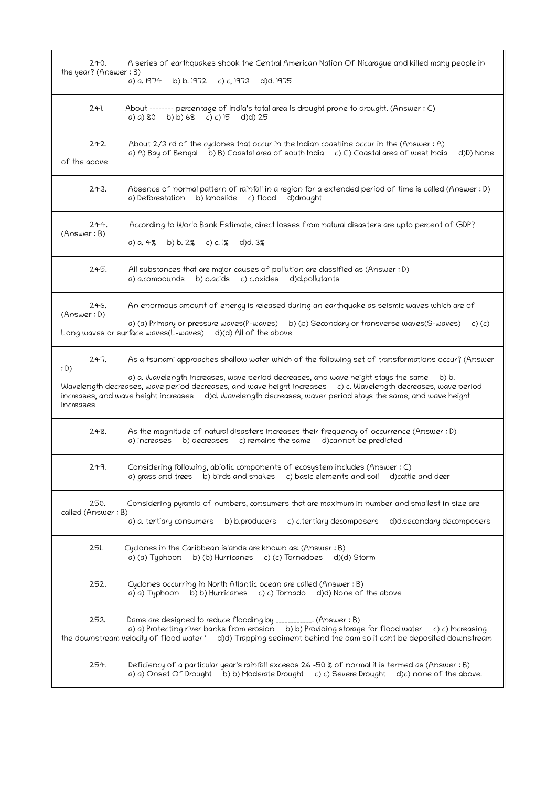| 240.<br>the year? (Answer: B) | A series of earthquakes shook the Central American Nation Of Nicarague and killed many people in<br>a) a. 1974<br>b) b. 1972 c) c, 1973<br>d)d. 1975                                                                                                                                                                                                                                                                               |
|-------------------------------|------------------------------------------------------------------------------------------------------------------------------------------------------------------------------------------------------------------------------------------------------------------------------------------------------------------------------------------------------------------------------------------------------------------------------------|
| $24$ .                        | About ------- percentage of India's total area is drought prone to drought. (Answer : C)<br>a) a) $80$ b) b) 68 c) c) 15<br>d)d) 25                                                                                                                                                                                                                                                                                                |
| 242.<br>of the above          | About 2/3 rd of the cyclones that occur in the Indian coastline occur in the (Answer : A)<br>a) A) Bay of Bengal b) B) Coastal area of south India c) C) Coastal area of west India<br>d)D) None                                                                                                                                                                                                                                   |
| 243.                          | Absence of normal pattern of rainfall in a region for a extended period of time is called (Answer : D)<br>a) Deforestation<br>b) landslide<br>c) flood<br>d)drought                                                                                                                                                                                                                                                                |
| 244.<br>(Answer : B)          | According to World Bank Estimate, direct losses from natural disasters are upto percent of GDP?<br>b) b. $2\%$ c) c. $\%$<br>d)d. 3%<br>a) a. 4%                                                                                                                                                                                                                                                                                   |
| 245.                          | All substances that are major causes of pollution are classified as (Answer : D)<br>b) b.acids c) c.oxides d)d.pollutants<br>a) a.compounds                                                                                                                                                                                                                                                                                        |
| 246.<br>(Answer: D)           | An enormous amount of energy is released during an earthquake as seismic waves which are of<br>a) (a) Primary or pressure waves(P-waves) b) (b) Secondary or transverse waves(S-waves) c) (c)<br>Long waves or surface waves(L-waves) d)(d) All of the above                                                                                                                                                                       |
| 247.<br>: D)<br>increases     | As a tsunami approaches shallow water which of the following set of transformations occur? (Answer<br>a) a. Wavelength increases, wave period decreases, and wave height stays the same<br>b) b.<br>Wavelength decreases, wave period decreases, and wave height increases c) c. Wavelength decreases, wave period<br>increases, and wave height increases d)d. Wavelength decreases, waver period stays the same, and wave height |
| 248.                          | As the magnitude of natural disasters increases their frequency of occurrence (Answer: D)<br>b) decreases<br>c) remains the same d)cannot be predicted<br>a) increases                                                                                                                                                                                                                                                             |
| 249.                          | Considering following, abiotic components of ecosystem includes (Answer : C)<br>a) grass and trees<br>b) birds and snakes  c) basic elements and soil<br>d)cattle and deer                                                                                                                                                                                                                                                         |
| 250.<br>called (Answer: B)    | Considering pyramid of numbers, consumers that are maximum in number and smallest in size are<br>a) a. tertiary consumers<br>b) b.producers c) c.tertiary decomposers<br>d)d.secondary decomposers                                                                                                                                                                                                                                 |
| 251.                          | Cyclones in the Caribbean islands are known as: (Answer : B)<br>b) (b) Hurricanes c) (c) Tornadoes d)(d) Storm<br>a) (a) Typhoon                                                                                                                                                                                                                                                                                                   |
| 252.                          | Cyclones occurring in North Atlantic ocean are called (Answer : B)<br>b) b) Hurricanes c) c) Tornado d)d) None of the above<br>a) a) Typhoon                                                                                                                                                                                                                                                                                       |
| 253.                          | Dams are designed to reduce flooding by ___________. (Answer : B)<br>a) a) Protecting river banks from erosion b) b) Providing storage for flood water<br>c) c) Increasing<br>the downstream velocity of flood water 'd)d) Trapping sediment behind the dam so it cant be deposited downstream                                                                                                                                     |
| 254.                          | Deficiency of a particular year's rainfall exceeds 26 -50 % of normal it is termed as (Answer : B)<br>b) b) Moderate Drought c) c) Severe Drought<br>a) a) Onset Of Drought<br>d)c) none of the above.                                                                                                                                                                                                                             |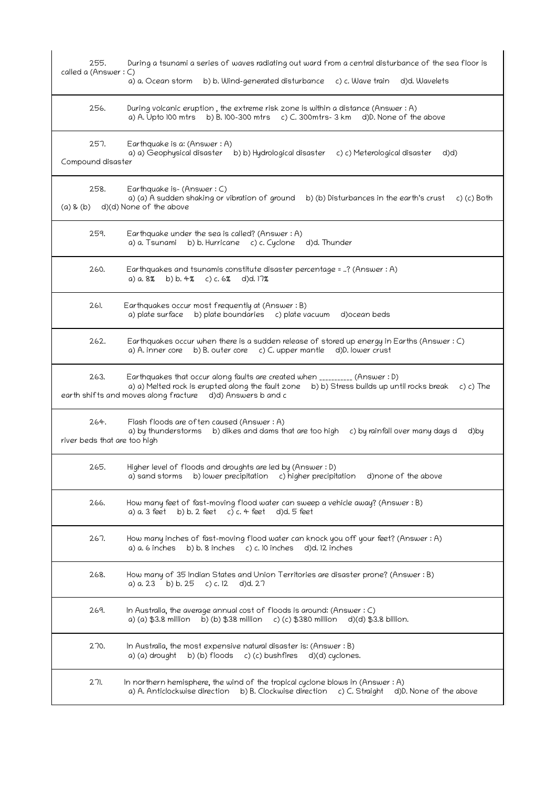| 255.<br>called a (Answer : C)        | During a tsunami a series of waves radiating out ward from a central disturbance of the sea floor is<br>a) a. Ocean storm<br>b) b. Wind-generated disturbance c) c. Wave train d)d. Wavelets                                                          |
|--------------------------------------|-------------------------------------------------------------------------------------------------------------------------------------------------------------------------------------------------------------------------------------------------------|
| 256.                                 | During volcanic eruption, the extreme risk zone is within a distance (Answer: A)<br>a) A. Upto 100 mtrs b) B. 100-300 mtrs c) C. 300mtrs-3 km d)D. None of the above                                                                                  |
| 257.<br>Compound disaster            | Earthquake is a: (Answer : A)<br>a) a) Geophysical disaster b) b) Hydrological disaster c) c) Meterological disaster<br>d)d)                                                                                                                          |
| 258.<br>$(a)$ & $(b)$                | Earthquake is- (Answer: C)<br>a) (a) A sudden shaking or vibration of ground<br>b) (b) Disturbances in the earth's crust<br>c) (c) Both<br>d)(d) None of the above                                                                                    |
| 259.                                 | Earthquake under the sea is called? (Answer : A)<br>b) b. Hurricane c) c. Cyclone d)d. Thunder<br>a) a. Tsunami                                                                                                                                       |
| 260.                                 | Earthquakes and tsunamis constitute disaster percentage = ? (Answer : A)<br>a) $a.8\%$ b) b. 4% c) c. 6%<br>$d$ d)d. $17%$                                                                                                                            |
| 261.                                 | Earthquakes occur most frequently at (Answer: B)<br>a) plate surface<br>b) plate boundaries c) plate vacuum<br>d)ocean beds                                                                                                                           |
| 262.                                 | Earthquakes occur when there is a sudden release of stored up energy in Earths (Answer: C)<br>a) A. inner core b) B. outer core c) C. upper mantle d) D. lower crust                                                                                  |
| 263.                                 | Earthquakes that occur along faults are created when __________ (Answer : D)<br>a) a) Melted rock is erupted along the fault zone b) b) Stress builds up until rocks break<br>c) c) The<br>earth shifts and moves along fracture d)d) Answers b and c |
| 264.<br>river beds that are too high | Flash floods are often caused (Answer: A)<br>a) by thunderstorms b) dikes and dams that are too high c) by rainfall over many days d<br>d)by                                                                                                          |
| 265.                                 | Higher level of floods and droughts are led by (Answer: D)<br>b) lower precipitation c) higher precipitation<br>a) sand storms<br>d) none of the above                                                                                                |
| 266.                                 | How many feet of fast-moving flood water can sweep a vehicle away? (Answer: B)<br>a) a. 3 feet<br>b) b. 2 feet c) c. 4 feet<br>d)d. 5 feet                                                                                                            |
| 267.                                 | How many inches of fast-moving flood water can knock you off your feet? (Answer : A)<br>a) a. 6 inches<br>b) b. 8 inches $c$ ) c. 10 inches<br>d)d. 12 inches                                                                                         |
| 268.                                 | How many of 35 Indian States and Union Territories are disaster prone? (Answer : B)<br>a) a. 23 b) b. 25 c) c. 12 d)d. 27                                                                                                                             |
| 269.                                 | In Australia, the average annual cost of floods is around: (Answer $: C$ )<br>a) (a) \$3.8 million<br>b) (b) \$38 million c) (c) \$380 million d)(d) \$3.8 billion.                                                                                   |
| 270.                                 | In Australia, the most expensive natural disaster is: (Answer $B$ )<br>b) (b) floods c) (c) bushfires<br>a) (a) drought<br>d)(d) cyclones.                                                                                                            |
| 271.                                 | In northern hemisphere, the wind of the tropical cyclone blows in (Answer: A)<br>a) A. Anticlockwise direction b) B. Clockwise direction c) C. Straight<br>d)D. None of the above                                                                     |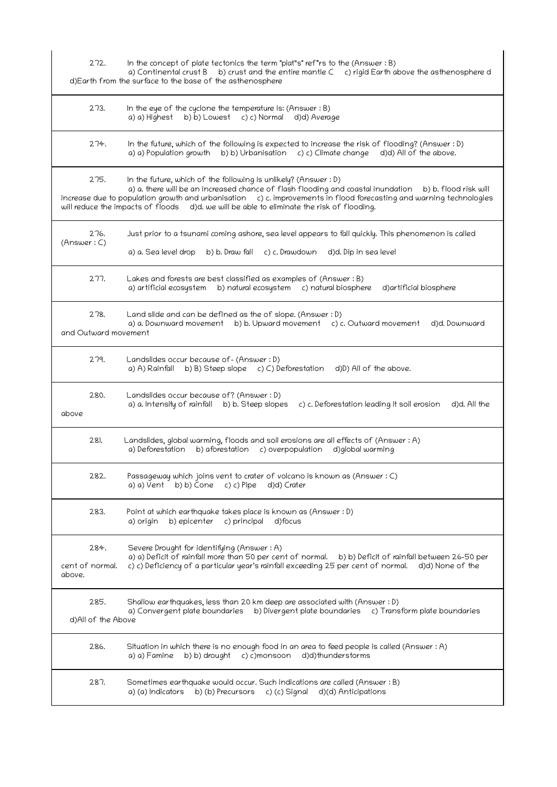272. In the concept of plate tectonics the term "plat"s" ref"rs to the (Answer : B) a) Continental crust  $B$  b) crust and the entire mantle  $C$  c) rigid Earth above the asthenosphere d d)Earth from the surface to the base of the asthenosphere 273. In the eye of the cyclone the temperature is: (Answer: B) a) a) Highest b) b) Lowest c) c) Normal d)d) Average 274. In the future, which of the following is expected to increase the risk of flooding? (Answer : D) a) a) Population growth  $b$ ) b) Urbanisation  $c$ ) c) Climate change  $d$ )d) All of the above. 275. In the future, which of the following is unlikely? (Answer : D) a) a. there will be an increased chance of flash flooding and coastal inundation b) b. flood risk will increase due to population growth and urbanisation c) c. improvements in flood forecasting and warning technologies will reduce the impacts of floods d)d. we will be able to eliminate the risk of flooding. 276. Just prior to a tsunami coming ashore, sea level appears to fall quickly. This phenomenon is called (Answer : C) a) a. Sea level drop b) b. Draw fall c) c. Drawdown d)d. Dip in sea level 277. Lakes and forests are best classified as examples of (Answer: B) a) artificial ecosystem b) natural ecosystem c) natural biosphere d)artificial biosphere 278. Land slide and can be defined as the of slope. (Answer: D) a) a. Downward movement b) b. Upward movement c) c. Outward movement d)d. Downward and Outward movement 279. Landslides occur because of- (Answer : D) a) A) Rainfall  $\ b)$  B) Steep slope  $\ c)$  C) Deforestation  $\ d$ )D) All of the above. 280. Landslides occur because of? (Answer : D) a) a. Intensity of rainfall b) b. Steep slopes c) c. Deforestation leading it soil erosion d)d. All the above 281. Landslides, global warming, floods and soil erosions are all effects of (Answer : A) a) Deforestation b) aforestation c) overpopulation d)global warming 282. Passageway which joins vent to crater of volcano is known as (Answer : C) a) a)  $Vert$  b) b) Cone c) c) Pipe d)d) Crater 283. Point at which earthquake takes place is known as (Answer : D) a) origin b) epicenter c) principal d)focus 284. Severe Drought for identifying (Answer : A) a) a) Deficit of rainfall more than 50 per cent of normal. b) b) Deficit of rainfall between 26-50 per cent of normal. c) c) Deficiency of a particular year's rainfall exceeding 25 per cent of normal. d)d) None c) c) Deficiency of a particular year's rainfall exceeding 25 per cent of normal. d)d) None of the above. 285. Shallow earthquakes, less than 20 km deep are associated with (Answer : D) a) Convergent plate boundaries b) Divergent plate boundaries c) Transform plate boundaries d)All of the Above 286. Situation in which there is no enough food in an area to feed people is called (Answer : A) a) a) Famine b) b) drought c) c)monsoon d)d)thunderstorms 287. Sometimes earthquake would occur. Such indications are called (Answer : B) a) (a) Indicators b) (b) Precursors c) (c) Signal d)(d) Anticipations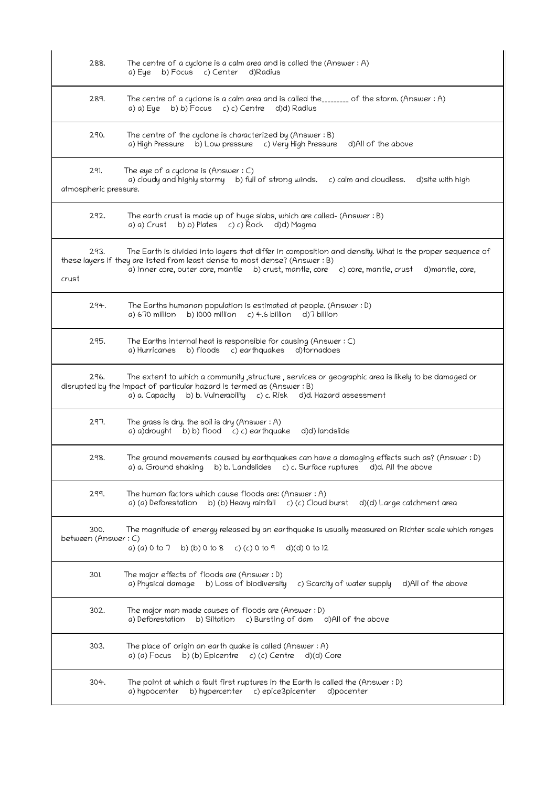| 288.                          | The centre of a cyclone is a calm area and is called the (Answer $:A$ )<br>a) Eye b) Focus c) Center d) Radius                                                                                                                                                                              |
|-------------------------------|---------------------------------------------------------------------------------------------------------------------------------------------------------------------------------------------------------------------------------------------------------------------------------------------|
| 289.                          | The centre of a cyclone is a calm area and is called the________ of the storm. (Answer: A)<br>b) b) Focus c) c) Centre d)d) Radius<br>a) a) Eye                                                                                                                                             |
| 290.                          | The centre of the cyclone is characterized by (Answer: B)<br>a) High Pressure b) Low pressure c) Very High Pressure<br>d)All of the above                                                                                                                                                   |
| 291.<br>atmospheric pressure. | The eye of a cyclone is (Answer $: C$ )<br>a) cloudy and highly stormy b) full of strong winds. c) calm and cloudless.<br>d) site with high                                                                                                                                                 |
| 292.                          | The earth crust is made up of huge slabs, which are called- (Answer : B)<br>a) a) Crust b) b) Plates c) c) Rock d)d) Magma                                                                                                                                                                  |
| 293.<br>crust                 | The Earth is divided into layers that differ in composition and density. What is the proper sequence of<br>these layers if they are listed from least dense to most dense? (Answer : B)<br>a) inner core, outer core, mantle b) crust, mantle, core c) core, mantle, crust d) mantle, core, |
| 294.                          | The Earths humanan population is estimated at people. (Answer : D)<br>b) $1000$ million c) 4.6 billion d) 7 billion<br>a) 670 million                                                                                                                                                       |
| 295.                          | The Earths internal heat is responsible for causing (Answer $: C$ )<br>a) Hurricanes<br>b) floods c) earthquakes<br>d)tornadoes                                                                                                                                                             |
| 296.                          | The extent to which a community , structure , services or geographic area is likely to be damaged or<br>disrupted by the impact of particular hazard is termed as (Answer: B)<br>b) b. Vulnerability c) c. Risk d)d. Hazard assessment<br>a) a. Capacity                                    |
| 297.                          | The grass is dry. the soil is dry (Answer : A)<br>a) a)drought b) b) flood c) c) earthquake<br>d)d) landslide                                                                                                                                                                               |
| 298.                          | The ground movements caused by earthquakes can have a damaging effects such as? (Answer: D)<br>a) a. Ground shaking b) b. Landslides c) c. Surface ruptures d)d. All the above                                                                                                              |
| 299.                          | The human factors which cause floods are: (Answer: A)<br>b) (b) Heavy rainfall c) (c) Cloud burst<br>d)(d) Large catchment area<br>a) (a) Deforestation                                                                                                                                     |
| 300.<br>between (Answer: C)   | The magnitude of energy released by an earthquake is usually measured on Richter scale which ranges<br>a) (a) 0 to $7$<br>d)(d) 0 to 12<br>b) (b) 0 to 8<br>c) (c) 0 to 9                                                                                                                   |
| 30).                          | The major effects of floods are (Answer : D)<br>a) Physical damage b) Loss of biodiversity<br>c) Scarcity of water supply<br>d)All of the above                                                                                                                                             |
| 302.                          | The major man made causes of floods are (Answer : D)<br>a) Deforestation<br>b) Siltation<br>c) Bursting of dam d)All of the above                                                                                                                                                           |
| 303.                          | The place of origin an earth quake is called (Answer: A)<br>$\overline{b}$ ) (b) Epicentre c) (c) Centre<br>a) (a) Focus<br>d)(d) Core                                                                                                                                                      |
| 304.                          | The point at which a fault first ruptures in the Earth is called the (Answer : D)<br>a) hypocenter<br>b) hypercenter<br>c) epice3picenter<br>d)pocenter                                                                                                                                     |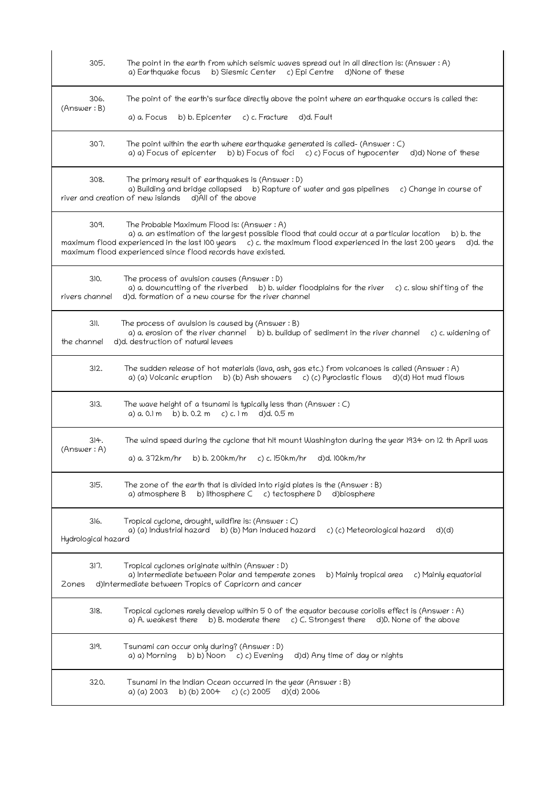| 305.                        | The point in the earth from which seismic waves spread out in all direction is: (Answer : A)<br>b) Siesmic Center<br>c) Epi Centre<br>d)None of these<br>a) Earthquake focus                                                                                                                                                                      |
|-----------------------------|---------------------------------------------------------------------------------------------------------------------------------------------------------------------------------------------------------------------------------------------------------------------------------------------------------------------------------------------------|
| 306.<br>(Answer: B)         | The point of the earth's surface directly above the point where an earthquake occurs is called the:<br>d)d. Fault<br>a) a. Focus<br>b) b. Epicenter<br>c) c. Fracture                                                                                                                                                                             |
| 307.                        | The point within the earth where earthquake generated is called- (Answer: C)<br>a) a) Focus of epicenter b) b) Focus of foci c) c) Focus of hypocenter d)d) None of these                                                                                                                                                                         |
| 308.                        | The primary result of earthquakes is (Answer : D)<br>a) Building and bridge collapsed<br>b) Rapture of water and gas pipelines<br>c) Change in course of<br>river and creation of new islands d)All of the above                                                                                                                                  |
| 309.                        | The Probable Maximum Flood is: (Answer: A)<br>a) a. an estimation of the largest possible flood that could occur at a particular location<br>b) b. the<br>maximum flood experienced in the last 100 years $c$ ) c. the maximum flood experienced in the last 200 years<br>d)d. the<br>maximum flood experienced since flood records have existed. |
| 310.<br>rivers channel      | The process of avulsion causes (Answer: D)<br>a) a. downcutting of the riverbed b) b. wider floodplains for the river c) c. slow shifting of the<br>d)d. formation of a new course for the river channel                                                                                                                                          |
| 311.<br>the channel         | The process of avulsion is caused by (Answer $:B$ )<br>a) a. erosion of the river channel b) b. buildup of sediment in the river channel c) c. widening of<br>d)d. destruction of natural levees                                                                                                                                                  |
| 312.                        | The sudden release of hot materials (lava, ash, gas etc.) from volcanoes is called (Answer : A)<br>a) (a) Volcanic eruption b) (b) Ash showers c) (c) Pyroclastic flows d)(d) Hot mud flows                                                                                                                                                       |
| 313.                        | The wave height of a tsunami is typically less than (Answer $: C$ )<br>a) $a, 0.1$ m b) b. 0.2 m c) c. 1 m<br>d)d. 0.5 m                                                                                                                                                                                                                          |
| 314.<br>(Answer: A)         | The wind speed during the cyclone that hit mount Washington during the year 1934 on 12 th April was<br>a) a. 372km/hr<br>b) b. 200km/hr<br>c) $c.150km/hr$<br>d)d. 100km/hr                                                                                                                                                                       |
| 315.                        | The zone of the earth that is divided into rigid plates is the (Answer $:B$ )<br>b) lithosphere C<br>c) tectosphere D<br>a) atmosphere B<br>d)biosphere                                                                                                                                                                                           |
| 316.<br>Hydrological hazard | Tropical cyclone, drought, wildfire is: (Answer : C)<br>a) (a) Industrial hazard<br>b) (b) Man induced hazard<br>c) (c) Meteorological hazard<br>d)(d)                                                                                                                                                                                            |
| 317.<br>Zones               | Tropical cyclones originate within (Answer : D)<br>a) Intermediate between Polar and temperate zones<br>b) Mainly tropical area<br>c) Mainly equatorial<br>d)Intermediate between Tropics of Capricorn and cancer                                                                                                                                 |
| 318.                        | Tropical cyclones rarely develop within 5 0 of the equator because coriolis effect is (Answer : A)<br>a) A. weakest there<br>b) B. moderate there<br>c) C. Strongest there<br>d)D. None of the above                                                                                                                                              |
| 319.                        | Tsunami can occur only during? (Answer : D)<br>a) a) Morning<br>b) b) Noon<br>c) c) Evening<br>d)d) Any time of day or nights                                                                                                                                                                                                                     |
| 320.                        | Tsunami in the Indian Ocean occurred in the year (Answer: B)<br>c) (c) 2005<br>a) (a) 2003<br>b) (b) 2004<br>$d$ $(d)$ 2006                                                                                                                                                                                                                       |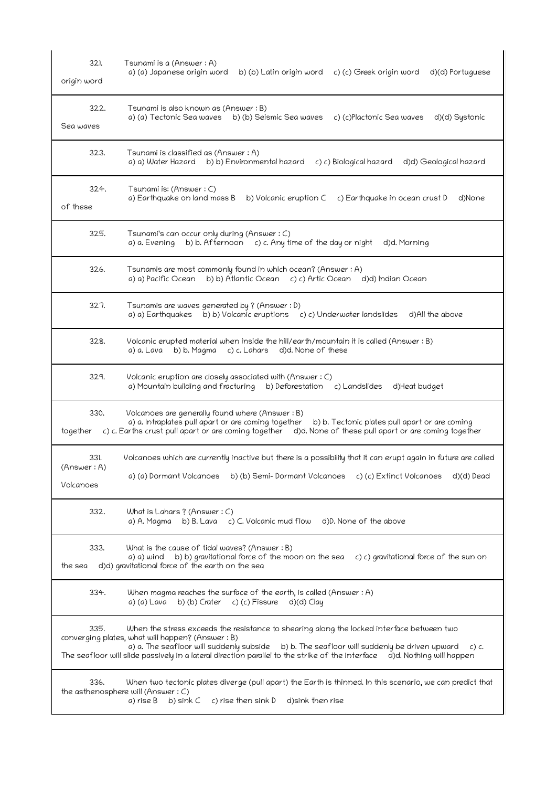| 321.<br>origin word      | Tsunami is a (Answer: A)<br>a) (a) Japanese origin word<br>b) (b) Latin origin word<br>c) (c) Greek origin word<br>d)(d) Portuguese                                                                                                                                                                                                                                                                       |
|--------------------------|-----------------------------------------------------------------------------------------------------------------------------------------------------------------------------------------------------------------------------------------------------------------------------------------------------------------------------------------------------------------------------------------------------------|
| 322.<br>Sea waves        | Tsunami is also known as (Answer : B)<br>a) (a) Tectonic Sea waves<br>b) (b) Seismic Sea waves<br>c) (c)Plactonic Sea waves<br>d)(d) Systonic                                                                                                                                                                                                                                                             |
| 323.                     | Tsunami is classified as (Answer : A)<br>a) a) Water Hazard b) b) Environmental hazard<br>c) c) Biological hazard<br>d)d) Geological hazard                                                                                                                                                                                                                                                               |
| 324.<br>of these         | Tsunami is: (Answer : C)<br>a) Earthquake on land mass B<br>b) Volcanic eruption C<br>c) Earthquake in ocean crust D<br>d)None                                                                                                                                                                                                                                                                            |
| 325.                     | Tsunami's can occur only during (Answer: C)<br>b) b. Afternoon $c$ ) c. Any time of the day or night<br>d)d. Morning<br>a) a. Evening                                                                                                                                                                                                                                                                     |
| 326.                     | Tsunamis are most commonly found in which ocean? (Answer : A)<br>a) a) Pacific Ocean<br>b) b) Atlantic Ocean c) c) Artic Ocean<br>d)d) Indian Ocean                                                                                                                                                                                                                                                       |
| 327.                     | Tsunamis are waves generated by ? (Answer : D)<br>a) a) Earthquakes b) b) Volcanic eruptions c) c) Underwater landslides<br>d)All the above                                                                                                                                                                                                                                                               |
| 328.                     | Volcanic erupted material when inside the hill/earth/mountain it is called (Answer : B)<br>a) a. Lava<br>b) b. Magma<br>c) c. Lahars<br>d)d. None of these                                                                                                                                                                                                                                                |
| 329.                     | Volcanic eruption are closely associated with (Answer: C)<br>a) Mountain building and fracturing b) Deforestation c) Landslides<br>d)Heat budget                                                                                                                                                                                                                                                          |
| 330.<br>together         | Volcanoes are generally found where (Answer: B)<br>a) a. Intraplates pull apart or are coming together<br>b) b. Tectonic plates pull apart or are coming<br>c) c. Earths crust pull apart or are coming together d)d. None of these pull apart or are coming together                                                                                                                                     |
| 331.                     | Volcanoes which are currently inactive but there is a possibility that it can erupt again in future are called                                                                                                                                                                                                                                                                                            |
| (Answer: A)<br>Volcanoes | a) (a) Dormant Volcanoes<br>b) (b) Semi- Dormant Volcanoes<br>c) (c) Extinct Volcanoes<br>d)(d) Dead                                                                                                                                                                                                                                                                                                      |
| 332.                     | What is Lahars ? (Answer : C)<br>a) A. Magma b) B. Lava c) C. Volcanic mud flow<br>d)D. None of the above                                                                                                                                                                                                                                                                                                 |
| 333.<br>the sea          | What is the cause of tidal waves? (Answer : B)<br>b) b) gravitational force of the moon on the sea<br>c) c) gravitational force of the sun on<br>a) a) wind<br>d)d) gravitational force of the earth on the sea                                                                                                                                                                                           |
| 334.                     | When magma reaches the surface of the earth, is called (Answer : A)<br>b) (b) Crater<br>c) (c) Fissure $d$ )(d) Clay<br>a) (a) Lava                                                                                                                                                                                                                                                                       |
| 335.                     | When the stress exceeds the resistance to shearing along the locked interface between two<br>converging plates, what will happen? (Answer : B)<br>a) a. The seafloor will suddenly subside<br>b) b. The seafloor will suddenly be driven upward<br>$c)$ c.<br>The seafloor will slide passively in a lateral direction parallel to the strike of the interface $\ddot{\text{o}}$ d)d. Nothing will happen |
| 336.                     | When two tectonic plates diverge (pull apart) the Earth is thinned. In this scenario, we can predict that<br>the asthenosphere will (Answer: C)<br>a) rise B<br>b) sink C<br>c) rise then sink D<br>d)sink then rise                                                                                                                                                                                      |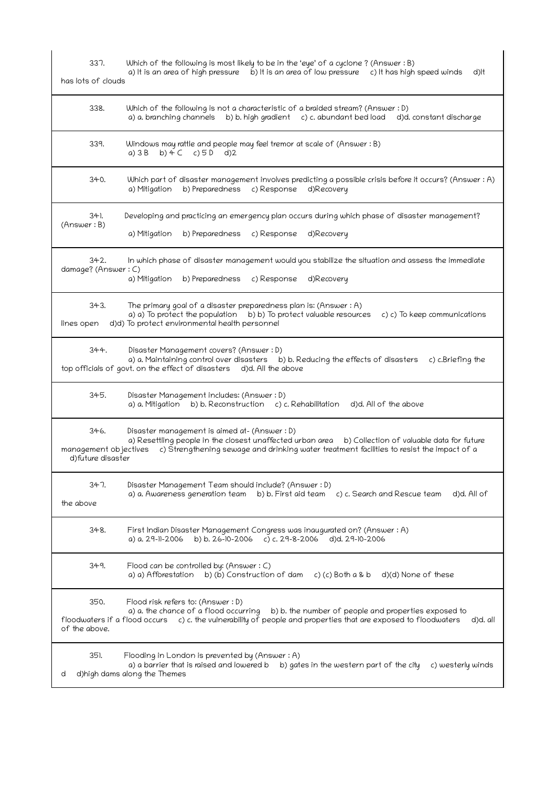| 337.<br>has lots of clouds                         | Which of the following is most likely to be in the 'eye' of a cyclone? (Answer: B)<br>a) It is an area of high pressure b) It is an area of low pressure c) It has high speed winds<br>d)lt                                                                      |
|----------------------------------------------------|------------------------------------------------------------------------------------------------------------------------------------------------------------------------------------------------------------------------------------------------------------------|
| 338.                                               | Which of the following is not a characteristic of a braided stream? (Answer : D)<br>a) a. branching channels<br>b) b. high gradient c) c. abundant bed load d)d. constant discharge                                                                              |
| 339.                                               | Windows may rattle and people may feel tremor at scale of (Answer: B)<br>a) $3B$ b) $4C$ c) $5D$ d) 2                                                                                                                                                            |
| 340.                                               | Which part of disaster management involves predicting a possible crisis before it occurs? (Answer: A)<br>a) Mitigation<br>b) Preparedness<br>c) Response<br>d)Recovery                                                                                           |
| 34).<br>(Answer : B)                               | Developing and practicing an emergency plan occurs during which phase of disaster management?<br>c) Response<br>a) Mitigation<br>b) Preparedness<br>d)Recovery                                                                                                   |
| 342.<br>damage? (Answer: C)                        | In which phase of disaster management would you stabilize the situation and assess the immediate<br>a) Mitigation<br>b) Preparedness<br>c) Response<br>d)Recovery                                                                                                |
| 343.<br>lines open                                 | The primary goal of a disaster preparedness plan is: (Answer : A)<br>a) a) To protect the population b) b) To protect valuable resources<br>c) c) To keep communications<br>d)d) To protect environmental health personnel                                       |
| 344.                                               | Disaster Management covers? (Answer: D)<br>a) a. Maintaining control over disasters b) b. Reducing the effects of disasters c) c. Briefing the<br>top officials of govt. on the effect of disasters d)d. All the above                                           |
| 345.                                               | Disaster Management includes: (Answer : D)<br>a) a. Mitigation b) b. Reconstruction c) c. Rehabilitation<br>d)d. All of the above                                                                                                                                |
| 346.<br>management objectives<br>d)future disaster | Disaster management is aimed at - (Answer : D)<br>a) Resettling people in the closest unaffected urban area<br>b) Collection of valuable data for future<br>c) Strengthening sewage and drinking water treatment facilities to resist the impact of a            |
| 347.<br>the above                                  | Disaster Management Team should include? (Answer : D)<br>a) a. Awareness generation team<br>b) b. First aid team<br>c) c. Search and Rescue team<br>d)d. All of                                                                                                  |
| 348.                                               | First Indian Disaster Management Congress was inaugurated on? (Answer : A)<br>b) b. 26-10-2006 c) c. 29-8-2006<br>d)d. 29-10-2006<br>a) a. 29-11-2006                                                                                                            |
| 349.                                               | Flood can be controlled by: (Answer $: C$ )<br>b) (b) Construction of dam<br>a) a) Afforestation<br>c) (c) Both a & b<br>d)(d) None of these                                                                                                                     |
| 350.<br>of the above.                              | Flood risk refers to: (Answer: D)<br>a) a. the chance of a flood occurring<br>b) b. the number of people and properties exposed to<br>floodwaters if a flood occurs c) c. the vulnerability of people and properties that are exposed to floodwaters<br>d)d. all |
| 351.<br>d                                          | Flooding in London is prevented by (Answer: A)<br>a) a barrier that is raised and lowered b<br>b) gates in the western part of the city<br>c) westerly winds<br>d)high dams along the Themes                                                                     |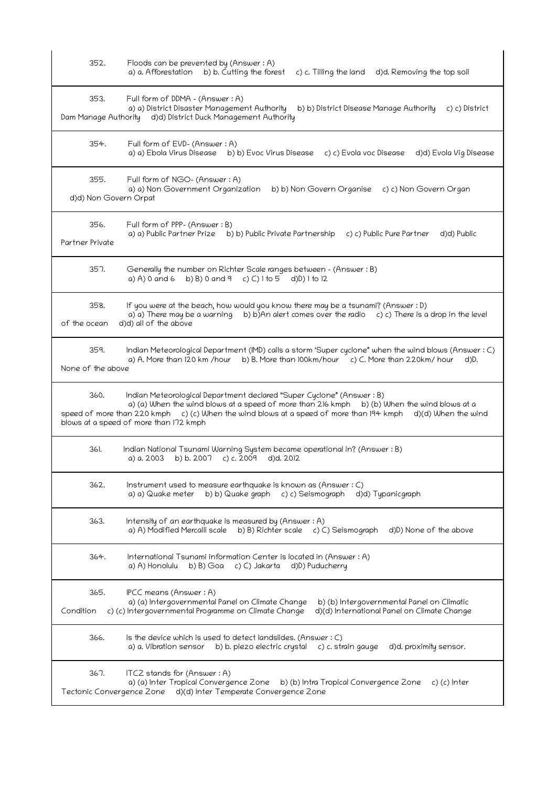| 352.                          | Floods can be prevented by (Answer: A)<br>a) a. Afforestation<br>b) b. Cutting the forest<br>c) c. Tilling the land<br>d)d. Removing the top soil                                                                                                                                                                                |
|-------------------------------|----------------------------------------------------------------------------------------------------------------------------------------------------------------------------------------------------------------------------------------------------------------------------------------------------------------------------------|
| 353.<br>Dam Manage Authority  | Full form of DDMA - (Answer: A)<br>a) a) District Disaster Management Authority<br>b) b) District Disease Manage Authority<br>c) c) District<br>d)d) District Duck Management Authority                                                                                                                                          |
| 354.                          | Full form of EVD- (Answer: A)<br>a) a) Ebola Virus Disease<br>b) b) Evoc Virus Disease c) c) Evola voc Disease<br>d)d) Evola Vig Disease                                                                                                                                                                                         |
| 355.<br>d)d) Non Govern Orpat | Full form of NGO- (Answer: A)<br>a) a) Non Government Organization<br>b) b) Non Govern Organise c) c) Non Govern Organ                                                                                                                                                                                                           |
| 356.<br>Partner Private       | Full form of PPP- (Answer: B)<br>a) a) Public Partner Prize b) b) Public Private Partnership<br>c) c) Public Pure Partner<br>d)d) Public                                                                                                                                                                                         |
| 357.                          | Generally the number on Richter Scale ranges between - (Answer: B)<br>b) B) 0 and 9<br>c) C) 1 to 5<br>a) A) 0 and 6<br>d)D) 1 to 12                                                                                                                                                                                             |
| 358.<br>of the ocean          | If you were at the beach, how would you know there may be a tsunami? (Answer : D)<br>a) a) There may be a warning b) b) An alert comes over the radio c) c) There is a drop in the level<br>d)d) all of the above                                                                                                                |
| 359.<br>None of the above     | Indian Meteorological Department (IMD) calls a storm 'Super cyclone" when the wind blows (Answer: C)<br>a) A. More than 120 km /hour b) B. More than 100km/hour c) C. More than 220km/hour<br>d)D.                                                                                                                               |
| 360.                          | Indian Meteorological Department declared "Super Cyclone" (Answer: B)<br>a) (a) When the wind blows at a speed of more than 216 kmph b) (b) When the wind blows at a<br>c) (c) When the wind blows at a speed of more than 194 kmph d)(d) When the wind<br>speed of more than 220 kmph<br>blows at a speed of more than 172 kmph |
| 361.                          | Indian National Tsunami Warning System became operational in? (Answer : B)<br>a) a. 2003<br>b) b. 2007<br>c) c. 2009<br>d)d. 2012                                                                                                                                                                                                |
| 362.                          | Instrument used to measure earthquake is known as (Answer : C)<br>a) a) Quake meter<br>b) b) Quake graph<br>d)d) Typanicgraph<br>c) c) Seismograph                                                                                                                                                                               |
| 363.                          | Intensity of an earthquake is measured by (Answer: A)<br>a) A) Modified Mercalli scale<br>b) B) Richter scale c) C) Seismograph<br>d)D) None of the above                                                                                                                                                                        |
| 364.                          | International Tsunami information Center is located in (Answer : A)<br>b) B) Goa<br>c) C) Jakarta<br>a) A) Honolulu<br>d)D) Puducherry                                                                                                                                                                                           |
| 365.<br>Condition             | IPCC means (Answer: A)<br>a) (a) Intergovernmental Panel on Climate Change<br>b) (b) Intergovernmental Panel on Climatic<br>c) (c) Intergovernmental Programme on Climate Change<br>d)(d) International Panel on Climate Change                                                                                                  |
| 366.                          | is the device which is used to detect landslides. (Answer $: C$ )<br>b) b. piezo electric crystal c) c. strain gauge<br>a) a. Vibration sensor<br>d)d. proximity sensor.                                                                                                                                                         |
| 367.                          | ITCZ stands for $(Answer: A)$<br>a) (a) Inter Tropical Convergence Zone<br>b) (b) Intra Tropical Convergence Zone<br>c) (c) Inter<br>Tectonic Convergence Zone d)(d) Inter Temperate Convergence Zone                                                                                                                            |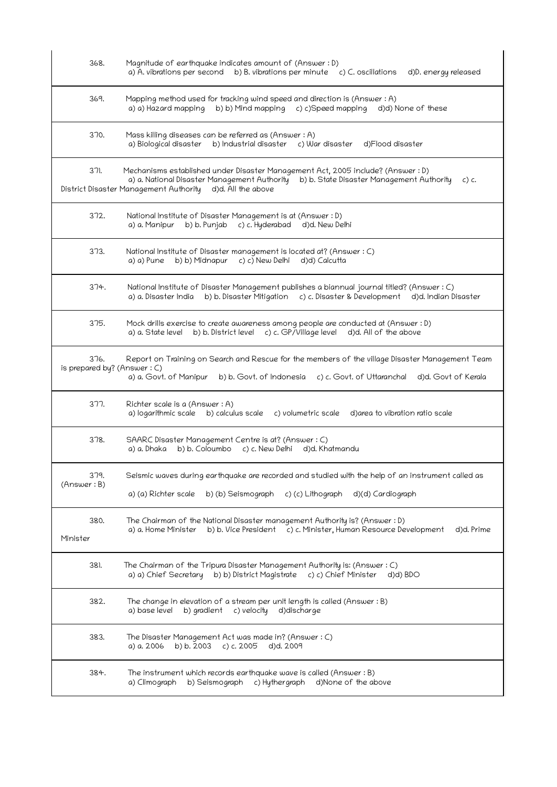| 368.                                | Magnitude of earthquake indicates amount of (Answer: D)<br>a) A. vibrations per second b) B. vibrations per minute c) C. oscillations d)D. energy released                                                                                         |
|-------------------------------------|----------------------------------------------------------------------------------------------------------------------------------------------------------------------------------------------------------------------------------------------------|
| 369.                                | Mapping method used for tracking wind speed and direction is (Answer: A)<br>a) a) Hazard mapping<br>b) b) Mind mapping c) c) Speed mapping<br>d)d) None of these                                                                                   |
| 370.                                | Mass killing diseases can be referred as (Answer: A)<br>b) Industrial disaster c) War disaster<br>a) Biological disaster<br>d)Flood disaster                                                                                                       |
| 371.                                | Mechanisms established under Disaster Management Act, 2005 include? (Answer : D)<br>a) a. National Disaster Management Authority b) b. State Disaster Management Authority<br>$c)$ c.<br>District Disaster Management Authority d)d. All the above |
| 372.                                | National Institute of Disaster Management is at (Answer: D)<br>b) b. Punjab c) c. Hyderabad<br>a) a. Manipur<br>d)d. New Delhi                                                                                                                     |
| 373.                                | National Institute of Disaster management is located at? (Answer : C)<br>b) b) Midnapur c) c) New Delhi d)d) Calcutta<br>a) a) Pune                                                                                                                |
| 374.                                | National Institute of Disaster Management publishes a biannual journal titled? (Answer: C)<br>a) a. Disaster India b) b. Disaster Mitigation c) c. Disaster & Development d)d. Indian Disaster                                                     |
| 375.                                | Mock drills exercise to create awareness among people are conducted at (Answer: D)<br>b) b. District level c) c. GP/Village level<br>d)d. All of the above<br>a) a. State level                                                                    |
| 376.<br>is prepared by? (Answer: C) | Report on Training on Search and Rescue for the members of the village Disaster Management Team<br>a) a. Govt. of Manipur<br>b) b. Govt. of Indonesia c) c. Govt. of Uttaranchal<br>d)d. Govt of Kerala                                            |
| 377.                                | Richter scale is a (Answer: A)<br>a) logarithmic scale b) calculus scale<br>c) volumetric scale<br>d) area to vibration ratio scale                                                                                                                |
| 378.                                | SAARC Disaster Management Centre is at? (Answer : C)<br>b) b. Coloumbo c) c. New Delhi d)d. Khatmandu<br>a) a. Dhaka                                                                                                                               |
| 379.<br>(Answer : B)                | Seismic waves during earthquake are recorded and studied with the help of an instrument called as<br>a) (a) Richter scale b) (b) Seismograph c) (c) Lithograph<br>d)(d) Cardiograph                                                                |
| 380.<br>Minister                    | The Chairman of the National Disaster management Authority is? (Answer : D)<br>b) b. Vice President c) c. Minister, Human Resource Development<br>a) a. Home Minister<br>d)d. Prime                                                                |
| 381.                                | The Chairman of the Tripura Disaster Management Authority is: (Answer: C)<br>a) a) Chief Secretary b) b) District Magistrate<br>c) c) Chief Minister<br>d)d) BDO                                                                                   |
| 382.                                | The change in elevation of a stream per unit length is called (Answer: B)<br>b) gradient<br>a) base level<br>c) velocity<br>d)discharge                                                                                                            |
| 383.                                | The Disaster Management Act was made in? (Answer : C)<br>b) b. 2003<br>$c)$ c. 2005<br>a) a. 2006<br>d)d. 2009                                                                                                                                     |
| 384.                                | The instrument which records earthquake wave is called (Answer: B)<br>d)None of the above<br>a) Climograph<br>b) Seismograph<br>c) Hythergraph                                                                                                     |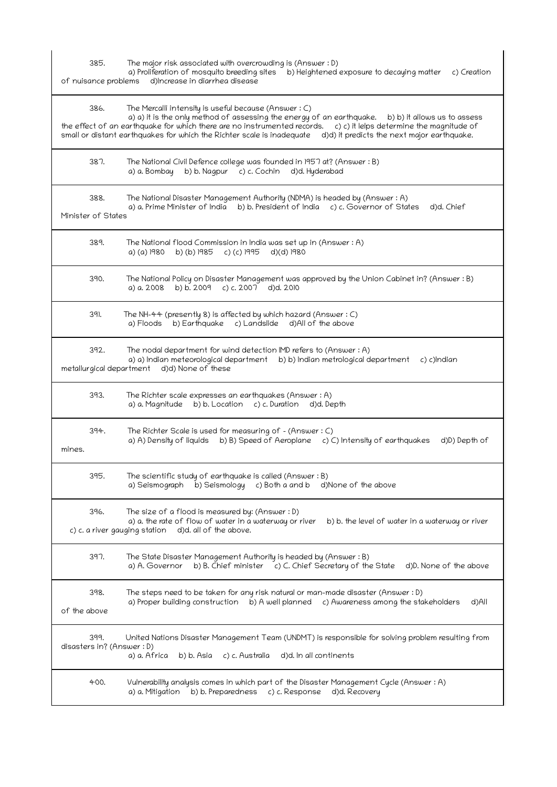| $\sim$ | . .<br>$\sim$ | ۰. |
|--------|---------------|----|

 a) Proliferation of mosquito breeding sites b) Heightened exposure to decaying matter c) Creation of nuisance problems d)Increase in diarrhea disease

| 386.<br>The Mercalli intensity is useful because (Answer: C)<br>a) a) it is the only method of assessing the energy of an earthquake.<br>b) b) it allows us to assess<br>the effect of an earthquake for which there are no instrumented records. c) c) it lelps determine the magnitude of<br>small or distant earthquakes for which the Richter scale is inadequate d)d) it predicts the next major earthquake. |  |
|-------------------------------------------------------------------------------------------------------------------------------------------------------------------------------------------------------------------------------------------------------------------------------------------------------------------------------------------------------------------------------------------------------------------|--|
| 387.<br>The National Civil Defence college was founded in 1957 at? (Answer : B)<br>b) b. Nagpur c) c. Cochin<br>a) a. Bombay<br>d)d. Hyderabad                                                                                                                                                                                                                                                                    |  |
| 388.<br>The National Disaster Management Authority (NDMA) is headed by (Answer: A)<br>a) a. Prime Minister of India b) b. President of India c) c. Governor of States<br>d)d. Chief<br>Minister of States                                                                                                                                                                                                         |  |
| 389.<br>The National flood Commission in India was set up in (Answer : A)<br>a) (a) 1980<br>b) (b) 1985 c) (c) 1995<br>d)(d) 1980                                                                                                                                                                                                                                                                                 |  |
| 390.<br>The National Policy on Disaster Management was approved by the Union Cabinet in? (Answer : B)<br>a) a. 2008 b) b. 2009 c) c. 2007 d)d. 2010                                                                                                                                                                                                                                                               |  |
| 391.<br>The NH-44 (presently $8$ ) is affected by which hazard (Answer : $C$ )<br>b) Earthquake c) Landslide d)All of the above<br>a) Floods                                                                                                                                                                                                                                                                      |  |
| 392.<br>The nodal department for wind detection IMD refers to (Answer: A)<br>a) a) Indian meteorological department b) b) Indian metrological department<br>c) c)Indian<br>metallurgical department d)d) None of these                                                                                                                                                                                            |  |
| 393.<br>The Richter scale expresses an earthquakes (Answer: A)<br>a) a. Magnitude b) b. Location c) c. Duration d)d. Depth                                                                                                                                                                                                                                                                                        |  |
| 394.<br>The Richter Scale is used for measuring of - (Answer : C)<br>a) A) Density of liquids b) B) Speed of Aeroplane c) C) Intensity of earthquakes<br>d)D) Depth of<br>mines.                                                                                                                                                                                                                                  |  |
| 395.<br>The scientific study of earthquake is called (Answer: B)<br>a) Seismograph b) Seismology c) Both a and b d) None of the above                                                                                                                                                                                                                                                                             |  |
| The size of a flood is measured by: (Answer : D)<br>396.<br>a) a. the rate of flow of water in a waterway or river<br>b) b. the level of water in a waterway or river<br>c) c. a river gauging station<br>d)d. all of the above.                                                                                                                                                                                  |  |
| 397.<br>The State Disaster Management Authority is headed by (Answer : B)<br>a) A. Governor<br>b) B. Chief minister<br>c) C. Chief Secretary of the State<br>d)D. None of the above                                                                                                                                                                                                                               |  |
| 398.<br>The steps need to be taken for any risk natural or man-made disaster (Answer : D)<br>a) Proper building construction<br>b) A well planned c) Awareness among the stakeholders<br>d)All<br>of the above                                                                                                                                                                                                    |  |
| United Nations Disaster Management Team (UNDMT) is responsible for solving problem resulting from<br>399.<br>disasters in? (Answer : D)<br>a) a. Africa<br>b) b. Asia<br>d)d. In all continents<br>c) c. Australia                                                                                                                                                                                                |  |
| 400.<br>Vulnerability analysis comes in which part of the Disaster Management Cycle (Answer : A)<br>a) a. Mitigation<br>b) b. Preparedness<br>c) c. Response<br>d)d. Recovery                                                                                                                                                                                                                                     |  |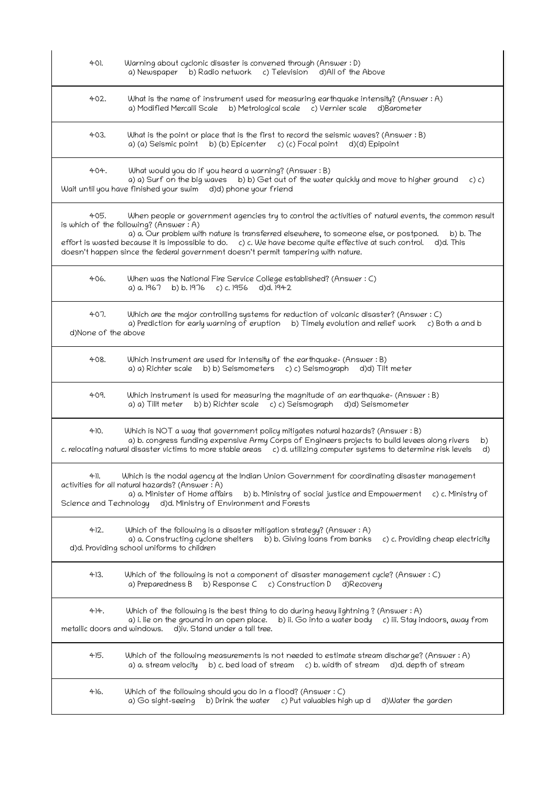| 401.                                | Warning about cyclonic disaster is convened through (Answer : D)<br>a) Newspaper b) Radio network c) Television d) All of the Above                                                                                                                                                                                                                                                                                                                                |
|-------------------------------------|--------------------------------------------------------------------------------------------------------------------------------------------------------------------------------------------------------------------------------------------------------------------------------------------------------------------------------------------------------------------------------------------------------------------------------------------------------------------|
| 402.                                | What is the name of instrument used for measuring earthquake intensity? (Answer : A)<br>b) Metrological scale c) Vernier scale<br>a) Modified Mercalli Scale<br>d)Barometer                                                                                                                                                                                                                                                                                        |
| 403.                                | What is the point or place that is the first to record the seismic waves? (Answer : B)<br>a) (a) Seismic point b) (b) Epicenter c) (c) Focal point d) (d) Epipoint                                                                                                                                                                                                                                                                                                 |
| 404.                                | What would you do if you heard a warning? (Answer: B)<br>a) a) Surf on the big waves b) b) Get out of the water quickly and move to higher ground<br>c) c)<br>Wait until you have finished your swim d)d) phone your friend                                                                                                                                                                                                                                        |
| 405.                                | When people or government agencies try to control the activities of natural events, the common result<br>is which of the following? (Answer: A)<br>a) a. Our problem with nature is transferred elsewhere, to someone else, or postponed.<br>b) b. The<br>effort is wasted because it is impossible to do. c) c. We have become quite effective at such control.<br>d)d. This<br>doesn't happen since the federal government doesn't permit tampering with nature. |
| 406.                                | When was the National Fire Service College established? (Answer : C)<br>a) a. 1967<br>b) b. $1976$ c) c. $1956$<br>d)d. 1942                                                                                                                                                                                                                                                                                                                                       |
| 407.<br>d)None of the above         | Which are the major controlling systems for reduction of volcanic disaster? (Answer: C)<br>a) Prediction for early warning of eruption<br>b) Timely evolution and relief work<br>c) Both a and b                                                                                                                                                                                                                                                                   |
| 408.                                | Which instrument are used for intensity of the earthquake- (Answer: B)<br>a) a) Richter scale b) b) Seismometers c) c) Seismograph<br>d)d) Tilt meter                                                                                                                                                                                                                                                                                                              |
| 409.                                | Which instrument is used for measuring the magnitude of an earthquake- (Answer: B)<br>b) b) Richter scale c) c) Seismograph<br>a) a) Tilit meter<br>d)d) Seismometer                                                                                                                                                                                                                                                                                               |
| 410.                                | Which is NOT a way that government policy mitigates natural hazards? (Answer: B)<br>a) b. congress funding expensive Army Corps of Engineers projects to build levees along rivers<br>b)<br>c. relocating natural disaster victims to more stable areas c) d. utilizing computer systems to determine risk levels<br>d)                                                                                                                                            |
| 41.                                 | Which is the nodal agency at the Indian Union Government for coordinating disaster management<br>activities for all natural hazards? (Answer: A)<br>a) a. Minister of Home affairs<br>b) b. Ministry of social justice and Empowerment c) c. Ministry of<br>Science and Technology d)d. Ministry of Environment and Forests                                                                                                                                        |
| 412.                                | Which of the following is a disaster mitigation strategy? (Answer $:A$ )<br>a) a. Constructing cyclone shelters b) b. Giving loans from banks<br>c) c. Providing cheap electricity<br>d)d. Providing school uniforms to children                                                                                                                                                                                                                                   |
| 413.                                | Which of the following is not a component of disaster management cycle? (Answer : C)<br>a) Preparedness B b) Response C c) Construction D<br>d)Recovery                                                                                                                                                                                                                                                                                                            |
| 414.<br>metallic doors and windows. | Which of the following is the best thing to do during heavy lightning ? (Answer : A)<br>b) ii. Go into a water body<br>a) i. lie on the ground in an open place.<br>c) iii. Stay indoors, away from<br>d)iv. Stand under a tall tree.                                                                                                                                                                                                                              |
| 415.                                | Which of the following measurements is not needed to estimate stream discharge? (Answer : A)<br>a) a. stream velocity<br>b) c. bed load of stream c) b. width of stream<br>d)d. depth of stream                                                                                                                                                                                                                                                                    |
| 416.                                | Which of the following should you do in a flood? (Answer $: C$ )<br>a) Go sight-seeing<br>b) Drink the water c) Put valuables high up d<br>d)Water the garden                                                                                                                                                                                                                                                                                                      |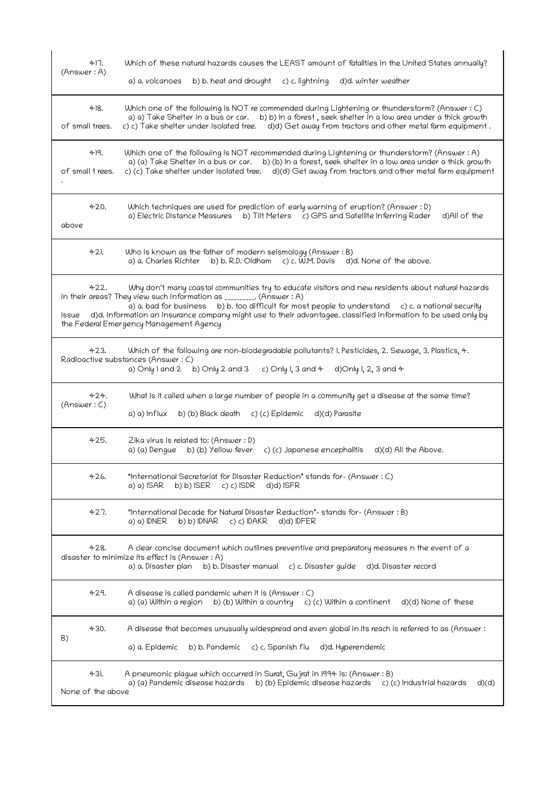| 417.<br>(Answer: A)       | Which of these natural hazards causes the LEAST amount of fatalities in the United States annually?<br>a) a. volcanoes<br>b) b. heat and drought<br>c) c. lightning<br>d)d. winter weather                                                                                                                                                                                                                                                       |
|---------------------------|--------------------------------------------------------------------------------------------------------------------------------------------------------------------------------------------------------------------------------------------------------------------------------------------------------------------------------------------------------------------------------------------------------------------------------------------------|
| 48.<br>of small trees.    | Which one of the following is NOT re commended during Lightening or thunderstorm? (Answer: C)<br>a) a) Take Shelter in a bus or car. b) b) In a forest, seek shelter in a low area under a thick growth<br>c) c) Take shelter under isolated tree. d)d) Get away from tractors and other metal farm equipment.                                                                                                                                   |
| 49.<br>of small trees.    | Which one of the following is NOT recommended during Lightening or thunderstorm? (Answer : A)<br>a) (a) Take Shelter in a bus or car. b) (b) In a forest, seek shelter in a low area under a thick growth<br>c) (c) Take shelter under isolated tree. d)(d) Get away from tractors and other metal farm equipment                                                                                                                                |
| 420.<br>above             | Which techniques are used for prediction of early warning of eruption? (Answer: D)<br>a) Electric Distance Measures b) Tilt Meters c) GPS and Satellite Inferring Rader<br>d)All of the                                                                                                                                                                                                                                                          |
| 421.                      | Who is known as the father of modern seismology (Answer: B)<br>a) a. Charles Richter b) b. R.D. Oldham c) c. W.M. Davis<br>d)d. None of the above.                                                                                                                                                                                                                                                                                               |
| 422.<br>issue             | Why don't many coastal communities try to educate visitors and new residents about natural hazards<br>in their areas? They view such information as _________. (Answer: A)<br>a) a. bad for business b) b. too difficult for most people to understand<br>c) c. a national security<br>d)d. information an insurance company might use to their advantagee. classified information to be used only by<br>the Federal Emergency Management Agency |
| 423.                      | Which of the following are non-biodegradable pollutants? I. Pesticides, 2. Sewage, 3. Plastics, 4.<br>Radioactive substances (Answer: C)<br>a) Only $1$ and $2$ b) Only $2$ and $3$<br>c) Only 1, 3 and $4$<br>d)Only 1, 2, 3 and 4                                                                                                                                                                                                              |
| 424.<br>(Answer: C)       | What is it called when a large number of people in a community get a disease at the same time?<br>a) a) Influx<br>b) (b) Black death<br>c) (c) Epidemic<br>d)(d) Parasite                                                                                                                                                                                                                                                                        |
| 425.                      | Zika virus is related to: (Answer : D)<br>a) (a) Dengue<br>b) (b) Yellow fever<br>c) (c) Japanese encephalitis<br>d)(d) All the Above.                                                                                                                                                                                                                                                                                                           |
| 426.                      | "International Secretariat for Disaster Reduction" stands for- (Answer : C)<br>a) a) ISAR<br>$b) b)$ ISER<br>$c) c)$ ISDR<br>d)d) ISFR                                                                                                                                                                                                                                                                                                           |
| 427.                      | "International Decade for Natural Disaster Reduction"- stands for- (Answer : B)<br>a) a) IDNER<br>b) b) IDNAR<br>$c) c)$ DAKR<br>d)d) IDFER                                                                                                                                                                                                                                                                                                      |
| 428.                      | A clear concise document which outlines preventive and preparatory measures n the event of a<br>disaster to minimize its effect is (Answer : A)<br>a) a. Disaster plan<br>b) b. Disaster manual<br>c) c. Disaster guide<br>d)d. Disaster record                                                                                                                                                                                                  |
| 429.                      | A disease is called pandemic when it is (Answer : C)<br>a) (a) Within a region<br>b) (b) Within a country<br>c) (c) Within a continent<br>d)(d) None of these                                                                                                                                                                                                                                                                                    |
| 430.<br>B)                | A disease that becomes unusually widespread and even global in its reach is referred to as (Answer:<br>c) c. Spanish flu<br>a) a. Epidemic<br>b) b. Pandemic<br>d)d. Hyperendemic                                                                                                                                                                                                                                                                |
| 431.<br>None of the above | A pneumonic plague which occurred in Surat, Gujrat in 1994 is: (Answer : B)<br>a) (a) Pandemic disease hazards b) (b) Epidemic disease hazards c) (c) Industrial hazards<br>d)(d)                                                                                                                                                                                                                                                                |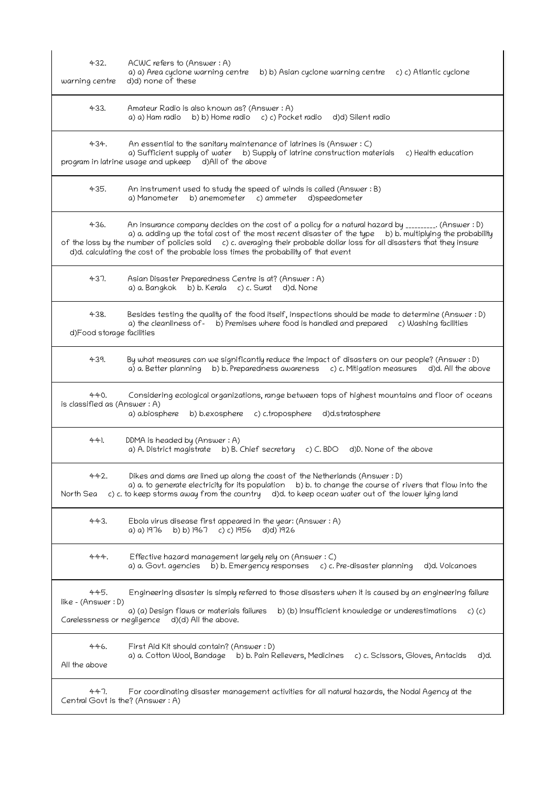| 432.<br>warning centre               | ACWC refers to (Answer: A)<br>a) a) Area cyclone warning centre<br>b) b) Asian cyclone warning centre c) c) Atlantic cyclone<br>d)d) none of these                                                                                                                                                                                                                                                                                   |
|--------------------------------------|--------------------------------------------------------------------------------------------------------------------------------------------------------------------------------------------------------------------------------------------------------------------------------------------------------------------------------------------------------------------------------------------------------------------------------------|
| 433.                                 | Amateur Radio is also known as? (Answer : A)<br>a) a) Ham radio<br>b) b) Home radio c) c) Pocket radio d)d) Silent radio                                                                                                                                                                                                                                                                                                             |
| 434.                                 | An essential to the sanitary maintenance of latrines is (Answer $: C$ )<br>a) Sufficient supply of water b) Supply of latrine construction materials<br>c) Health education<br>program in latrine usage and upkeep d)All of the above                                                                                                                                                                                                |
| 435.                                 | An instrument used to study the speed of winds is called (Answer: B)<br>a) Manometer<br>b) anemometer c) ammeter d) speedometer                                                                                                                                                                                                                                                                                                      |
| 436.                                 | An insurance company decides on the cost of a policy for a natural hazard by _________. (Answer: D)<br>a) a. adding up the total cost of the most recent disaster of the type<br>b) b. multiplying the probability<br>of the loss by the number of policies sold c) c. averaging their probable dollar loss for all disasters that they insure<br>d)d. calculating the cost of the probable loss times the probability of that event |
| 437.                                 | Asian Disaster Preparedness Centre is at? (Answer : A)<br>b) b. Kerala c) c. Surat d)d. None<br>a) a. Bangkok                                                                                                                                                                                                                                                                                                                        |
| 438.<br>d)Food storage facilities    | Besides testing the quality of the food itself, inspections should be made to determine (Answer: D)<br>a) the cleanliness of - b) Premises where food is handled and prepared<br>c) Washing facilities                                                                                                                                                                                                                               |
| 439.                                 | By what measures can we significantly reduce the impact of disasters on our people? (Answer : D)<br>a) a. Better planning<br>b) b. Preparedness awareness c) c. Mitigation measures<br>d)d. All the above                                                                                                                                                                                                                            |
| 440.<br>is classified as (Answer: A) | Considering ecological organizations, range between tops of highest mountains and floor of oceans<br>a) a.biosphere<br>b) b.exosphere<br>c) c.troposphere<br>d)d.stratosphere                                                                                                                                                                                                                                                        |
| 44.                                  | DDMA is headed by (Answer: A)<br>a) A. District magistrate b) B. Chief secretary<br>c) $C. BDO$ d) $D.$ None of the above                                                                                                                                                                                                                                                                                                            |
| 442.<br>North Sea                    | Dikes and dams are lined up along the coast of the Netherlands (Answer : D)<br>a) a. to generate electricity for its population b) b. to change the course of rivers that flow into the<br>c) c. to keep storms away from the country d)d. to keep ocean water out of the lower lying land                                                                                                                                           |
| 443.                                 | Ebola virus disease first appeared in the year: (Answer $: A$ )<br>a) a) 1976<br>b) b) 1967<br>c) c) 1956<br>d)d) 1926                                                                                                                                                                                                                                                                                                               |
| 444.                                 | Effective hazard management largely rely on (Answer: C)<br>b) b. Emergency responses c) c. Pre-disaster planning<br>a) a. Govt. agencies<br>d)d. Volcanoes                                                                                                                                                                                                                                                                           |
| 445.<br>like - (Answer: D)           | Engineering disaster is simply referred to those disasters when it is caused by an engineering failure<br>a) (a) Design flaws or materials failures<br>b) (b) Insufficient knowledge or underestimations<br>c) (c)<br>Carelessness or negligence d)(d) All the above.                                                                                                                                                                |
| 446.<br>All the above                | First Aid Kit should contain? (Answer : D)<br>a) a. Cotton Wool, Bandage b) b. Pain Relievers, Medicines<br>c) c. Scissors, Gloves, Antacids<br>d)d.                                                                                                                                                                                                                                                                                 |
| 447.                                 | For coordinating disaster management activities for all natural hazards, the Nodal Agency at the<br>Central Govt is the? (Answer: A)                                                                                                                                                                                                                                                                                                 |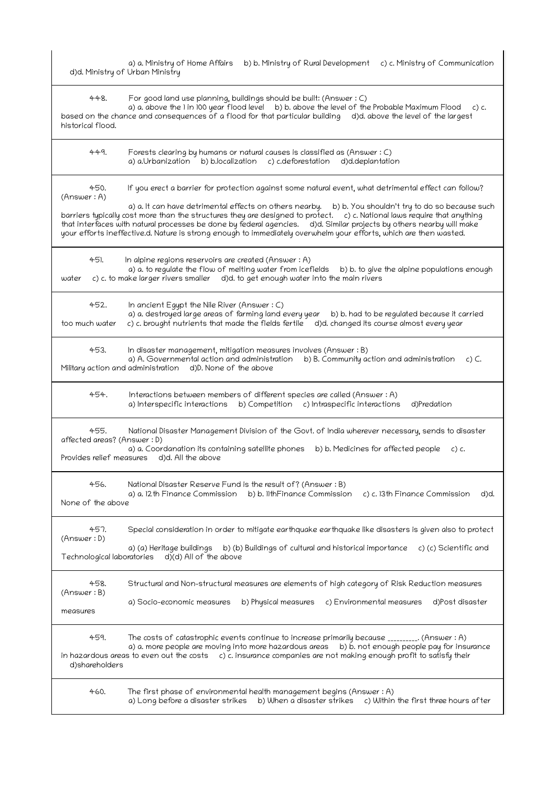| d)d. Ministry of Urban Ministry                   | b) b. Ministry of Rural Development c) c. Ministry of Communication<br>a) a. Ministry of Home Affairs                                                                                                                                                                                                                                                                                                                                                                                                                                                                                   |
|---------------------------------------------------|-----------------------------------------------------------------------------------------------------------------------------------------------------------------------------------------------------------------------------------------------------------------------------------------------------------------------------------------------------------------------------------------------------------------------------------------------------------------------------------------------------------------------------------------------------------------------------------------|
| 448.<br>historical flood.                         | For good land use planning, buildings should be built: (Answer : C)<br>a) a. above the 1 in 100 year flood level b) b. above the level of the Probable Maximum Flood c) c.<br>based on the chance and consequences of a flood for that particular building d)d. above the level of the largest                                                                                                                                                                                                                                                                                          |
| 449.                                              | Forests clearing by humans or natural causes is classified as (Answer: C)<br>a) a.Urbanization b) b.localization c) c.deforestation d)d.deplantation                                                                                                                                                                                                                                                                                                                                                                                                                                    |
| 450.<br>(Answer: A)                               | If you erect a barrier for protection against some natural event, what detrimental effect can follow?<br>a) a. It can have detrimental effects on others nearby. b) b. You shouldn't try to do so because such<br>barriers typically cost more than the structures they are designed to protect. c) c. National laws require that anything<br>that interfaces with natural processes be done by federal agencies. d)d. Similar projects by others nearby will make<br>your efforts ineffective.d. Nature is strong enough to immediately overwhelm your efforts, which are then wasted. |
| 45).<br>water                                     | In alpine regions reservoirs are created (Answer: A)<br>a) a. to regulate the flow of melting water from icefields<br>b) b. to give the alpine populations enough<br>c) c. to make larger rivers smaller d)d. to get enough water into the main rivers                                                                                                                                                                                                                                                                                                                                  |
| 452.<br>too much water                            | In ancient Egypt the Nile River (Answer: C)<br>a) a. destroyed large areas of farming land every year<br>b) b. had to be regulated because it carried<br>c) c. brought nutrients that made the fields fertile<br>d)d. changed its course almost every year                                                                                                                                                                                                                                                                                                                              |
| 453.<br>Military action and administration        | In disaster management, mitigation measures involves (Answer : B)<br>a) A. Governmental action and administration<br>b) B. Community action and administration<br>$c)$ C.<br>d)D. None of the above                                                                                                                                                                                                                                                                                                                                                                                     |
| 454.                                              | Interactions between members of different species are called (Answer: A)<br>b) Competition c) Intraspecific interactions<br>a) Interspecific interactions<br>d)Predation                                                                                                                                                                                                                                                                                                                                                                                                                |
| 455.<br>affected areas? (Answer : D)              | National Disaster Management Division of the Govt. of India wherever necessary, sends to disaster<br>a) a. Coordanation its containing satellite phones<br>b) b. Medicines for affected people<br>$C$ ) $C$ .<br>Provides relief measures d)d. All the above                                                                                                                                                                                                                                                                                                                            |
| 456.<br>None of the above                         | National Disaster Reserve Fund is the result of? (Answer: B)<br>b) b. 11thFinance Commission<br>a) a. 12th Finance Commission<br>c) c. 13th Finance Commission<br>d)d.                                                                                                                                                                                                                                                                                                                                                                                                                  |
| 457.<br>(Answer: D)<br>Technological laboratories | Special consideration in order to mitigate earthquake earthquake like disasters is given also to protect<br>a) (a) Heritage buildings<br>b) (b) Buildings of cultural and historical importance<br>c) (c) Scientific and<br>d)(d) All of the above                                                                                                                                                                                                                                                                                                                                      |
| 458.<br>(Answer:B)<br>measures                    | Structural and Non-structural measures are elements of high category of Risk Reduction measures<br>a) Socio-economic measures<br>b) Physical measures<br>c) Environmental measures<br>d)Post disaster                                                                                                                                                                                                                                                                                                                                                                                   |
| 459.<br>d)shareholders                            | The costs of catastrophic events continue to increase primarily because _________. (Answer : A)<br>a) a. more people are moving into more hazardous areas<br>b) b. not enough people pay for insurance<br>in hazardous areas to even out the costs c) c. insurance companies are not making enough profit to satisfy their                                                                                                                                                                                                                                                              |
| 460.                                              | The first phase of environmental health management begins (Answer : A)<br>a) Long before a disaster strikes<br>b) When a disaster strikes<br>c) Within the first three hours after                                                                                                                                                                                                                                                                                                                                                                                                      |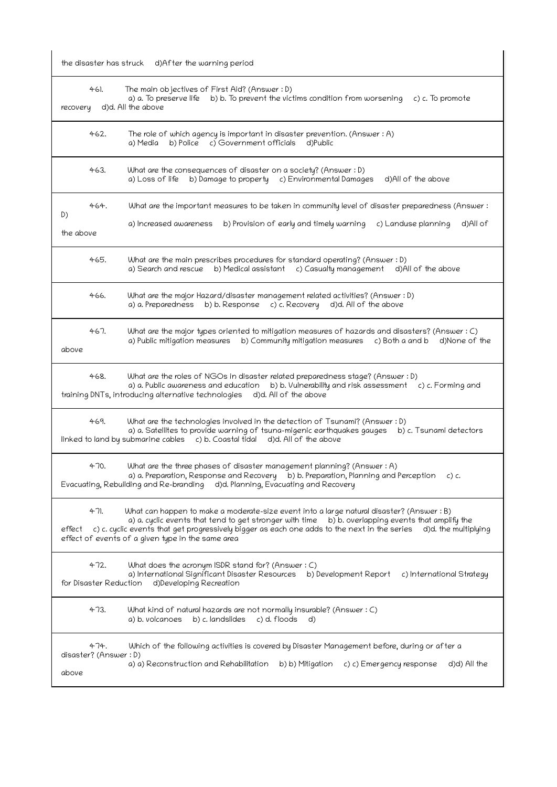the disaster has struck d)After the warning period

| recovery        | 461.                           | The main objectives of First Aid? (Answer : D)<br>a) a. To preserve life b) b. To prevent the victims condition from worsening<br>c) c. To promote<br>d)d. All the above                                                                                                                                                                                                 |
|-----------------|--------------------------------|--------------------------------------------------------------------------------------------------------------------------------------------------------------------------------------------------------------------------------------------------------------------------------------------------------------------------------------------------------------------------|
|                 | 462.                           | The role of which agency is important in disaster prevention. (Answer : A)<br>a) Media<br>b) Police c) Government officials<br>d)Public                                                                                                                                                                                                                                  |
|                 | 463.                           | What are the consequences of disaster on a society? (Answer: D)<br>b) Damage to property c) Environmental Damages<br>a) Loss of life<br>d)All of the above                                                                                                                                                                                                               |
| D)<br>the above | 464.                           | What are the important measures to be taken in community level of disaster preparedness (Answer:<br>a) Increased awareness<br>b) Provision of early and timely warning<br>c) Landuse planning<br>d)All of                                                                                                                                                                |
|                 | 465.                           | What are the main prescribes procedures for standard operating? (Answer : D)<br>b) Medical assistant c) Casualty management d)All of the above<br>a) Search and rescue                                                                                                                                                                                                   |
|                 | 466.                           | What are the major Hazard/disaster management related activities? (Answer : D)<br>b) b. Response c) c. Recovery d)d. All of the above<br>a) a. Preparedness                                                                                                                                                                                                              |
| above           | 467.                           | What are the major types oriented to mitigation measures of hazards and disasters? (Answer : C)<br>a) Public mitigation measures b) Community mitigation measures<br>c) Both a and b<br>d)None of the                                                                                                                                                                    |
|                 | 468.                           | What are the roles of NGOs in disaster related preparedness stage? (Answer : D)<br>a) a. Public awareness and education<br>b) b. Vulnerability and risk assessment c) c. Forming and<br>training DNTs, introducing alternative technologies d)d. All of the above                                                                                                        |
|                 | 469.                           | What are the technologies involved in the detection of Tsunami? (Answer : D)<br>a) a. Satellites to provide warning of tsuna-migenic earthquakes gauges<br>b) c. Tsunami detectors<br>linked to land by submarine cables c) b. Coastal tidal d)d. All of the above                                                                                                       |
|                 | 470.                           | What are the three phases of disaster management planning? (Answer: A)<br>a) a. Preparation, Response and Recovery b) b. Preparation, Planning and Perception<br>$c)$ c.<br>Evacuating, Rebuilding and Re-branding d)d. Planning, Evacuating and Recovery                                                                                                                |
| effect          | 471.                           | What can happen to make a moderate-size event into a large natural disaster? (Answer : B)<br>a) a. cyclic events that tend to get stronger with time b) b. overlapping events that amplify the<br>c) c. cyclic events that get progressively bigger as each one adds to the next in the series d)d. the multiplying<br>effect of events of a given type in the same area |
|                 | 472.<br>for Disaster Reduction | What does the acronym ISDR stand for? (Answer : C)<br>a) International Significant Disaster Resources b) Development Report<br>c) International Strategy<br>d)Developing Recreation                                                                                                                                                                                      |
|                 | 473.                           | What kind of natural hazards are not normally insurable? (Answer: C)<br>a) b. volcanoes<br>b) c. landslides<br>c) d. floods<br>d)                                                                                                                                                                                                                                        |
| above           | 474.<br>disaster? (Answer : D) | Which of the following activities is covered by Disaster Management before, during or after a<br>a) a) Reconstruction and Rehabilitation<br>d)d) All the<br>b) b) Mitigation<br>c) c) Emergency response                                                                                                                                                                 |

 $\begin{array}{c} \hline \end{array}$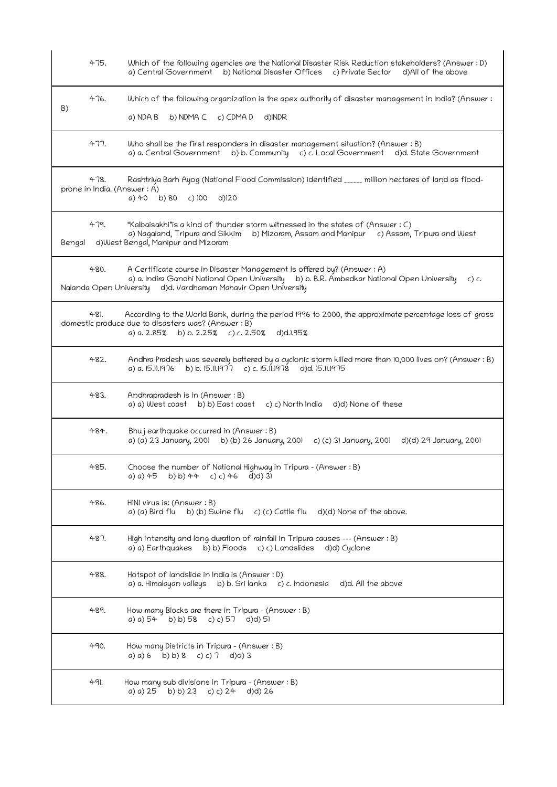|        | 475. | Which of the following agencies are the National Disaster Risk Reduction stakeholders? (Answer: D)<br>a) Central Government b) National Disaster Offices c) Private Sector<br>d)All of the above                                                  |
|--------|------|---------------------------------------------------------------------------------------------------------------------------------------------------------------------------------------------------------------------------------------------------|
| B)     | 476. | Which of the following organization is the apex authority of disaster management in India? (Answer:<br>b) NDMA C<br>c) CDMA D<br>d)INDR<br>a) NDA B                                                                                               |
|        | 477. | Who shall be the first responders in disaster management situation? (Answer : B)<br>a) a. Central Government<br>b) b. Community c) c. Local Government d)d. State Government                                                                      |
|        | 478. | Rashtriya Barh Ayog (National Flood Commission) identified ______ million hectares of land as flood-<br>prone in India. (Answer: A)<br>a) $40$ b) $80$ c) $100$<br>$d$ ) $20$                                                                     |
| Bengal | 479. | "Kalbaisakhi"is a kind of thunder storm witnessed in the states of (Answer: C)<br>a) Nagaland, Tripura and Sikkim b) Mizoram, Assam and Manipur<br>c) Assam, Tripura and West<br>d)West Bengal, Manipur and Mizoram                               |
|        | 480. | A Certificate course in Disaster Management is offered by? (Answer : A)<br>a) a. Indira Gandhi National Open University b) b. B.R. Ambedkar National Open University<br>$c)$ c.<br>Nalanda Open University d)d. Vardhaman Mahavir Open University |
|        | 481. | According to the World Bank, during the period 1996 to 2000, the approximate percentage loss of gross<br>domestic produce due to disasters was? (Answer : B)<br>a) a. 2.85% b) b. 2.25% c) c. 2.50% d)d.l.95%                                     |
|        | 482. | Andhra Pradesh was severely battered by a cyclonic storm killed more than 10,000 lives on? (Answer : B)<br>b) b. 15.11.1977 c) c. 15.11.1978 d)d. 15.11.1975<br>a) a. 15.11.1976                                                                  |
|        | 483. | Andhrapradesh is in (Answer: B)<br>a) a) West coast b) b) East coast<br>c) c) North India d)d) None of these                                                                                                                                      |
|        | 484. | Bhujearthquake occurred in (Answer: B)<br>a) (a) 23 January, 2001 b) (b) 26 January, 2001 c) (c) 31 January, 2001<br>d)(d) 29 January, 2001                                                                                                       |
|        | 485. | Choose the number of National Highway in Tripura - (Answer: B)<br>a) a) $45$ b) b) $44$ c) c) $46$ d)d) 31                                                                                                                                        |
|        | 486. | HINI virus is: (Answer : B)<br>a) (a) Bird flu b) (b) Swine flu c) (c) Cattle flu d)(d) None of the above.                                                                                                                                        |
|        | 487. | High intensity and long duration of rainfall in Tripura causes --- (Answer : B)<br>a) a) Earthquakes b) b) Floods c) c) Landslides d)d) Cyclone                                                                                                   |
|        | 488. | Hotspot of landslide in India is (Answer : D)<br>a) a. Himalayan valleys b) b. Sri lanka c) c. Indonesia<br>d)d. All the above                                                                                                                    |
|        | 489. | How many Blocks are there in Tripura - (Answer: B)<br>a) a) $54$ b) b) $58$ c) c) $57$ d)d) $51$                                                                                                                                                  |
|        | 490. | How many Districts in Tripura - (Answer: B)<br>a) a) 6 b) b) 8 c) c) 7 d)d) 3                                                                                                                                                                     |
|        | 491. | How many sub divisions in Tripura – (Answer : B)<br>a) a) 25 b) b) 23 c) c) 24 d)d) 26                                                                                                                                                            |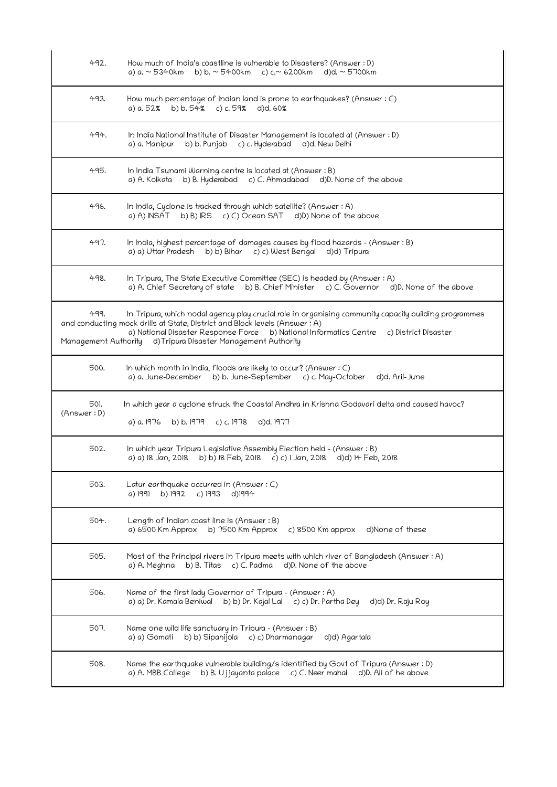| 492.                | How much of India's coastline is vulnerable to Disasters? (Answer : D)<br>b) b. ~ 5400km c) c.~ 6200km d)d. ~ 5700km<br>a) a. ~ 5340km                                                                                                                                                                                                         |
|---------------------|------------------------------------------------------------------------------------------------------------------------------------------------------------------------------------------------------------------------------------------------------------------------------------------------------------------------------------------------|
| 493.                | How much percentage of Indian land is prone to earthquakes? (Answer : C)<br>a) a. 52% b) b. 54% c) c. 59% d)d. 60%                                                                                                                                                                                                                             |
| 494.                | In India National Institute of Disaster Management is located at (Answer : D)<br>b) b. Punjab<br>c) c. Hyderabad<br>a) a. Manipur<br>d)d. New Delhi                                                                                                                                                                                            |
| 495.                | In India Tsunami Warning centre is located at (Answer: B)<br>b) B. Hyderabad c) C. Ahmadabad d)D. None of the above<br>a) A. Kolkata                                                                                                                                                                                                           |
| 496.                | In India, Cyclone is tracked through which satellite? (Answer : A)<br>b) B) IRS c) C) Ocean SAT d) D) None of the above<br>a) A) INSAT                                                                                                                                                                                                         |
| 497.                | In India, highest percentage of damages causes by flood hazards - (Answer : B)<br>a) a) Uttar Pradesh b) b) Bihar c) c) West Bengal d)d) Tripura                                                                                                                                                                                               |
| 498.                | In Tripura, The State Executive Committee (SEC) is headed by (Answer: A)<br>a) A. Chief Secretary of state b) B. Chief Minister c) C. Governor d)D. None of the above                                                                                                                                                                          |
| 499.                | In Tripura, which nodal agency play crucial role in organising community capacity building programmes<br>and conducting mock drills at State, District and Block levels (Answer: A)<br>a) National Disaster Response Force b) National Informatics Centre c) District Disaster<br>Management Authority d)Tripura Disaster Management Authority |
| 500.                | In which month in India, floods are likely to occur? (Answer $: C$ )<br>a) a. June-December b) b. June-September c) c. May-October<br>d)d. Aril-June                                                                                                                                                                                           |
| 501.<br>(Answer: D) | In which year a cyclone struck the Coastal Andhra in Krishna Godavari delta and caused havoc?<br>a) a. 1976<br>d)d. 1977<br>b) b. 1979 c) c. 1978                                                                                                                                                                                              |
| 502.                | In which year Tripura Legislative Assembly Election held - (Answer : B)<br>a) a) 18 Jan, 2018 b) b) 18 Feb, 2018 c) c) 1 Jan, 2018<br>d)d) 14 Feb, 2018                                                                                                                                                                                        |
| 503.                | Latur earthquake occurred in (Answer: C)<br>a) 1991<br>b) 1992<br>c) 1993<br>d)1994                                                                                                                                                                                                                                                            |
| 504.                | Length of Indian coast line is (Answer $:B$ )<br>a) 6500 Km Approx<br>b) $7500$ Km Approx<br>c) $8500$ Km approx<br>d)None of these                                                                                                                                                                                                            |
| 505.                | Most of the Principal rivers in Tripura meets with which river of Bangladesh (Answer: A)<br>c) C. Padma<br>d)D. None of the above<br>a) A. Meghna<br>b) B. Titas                                                                                                                                                                               |
| 506.                | Name of the first lady Governor of Tripura - (Answer: A)<br>a) a) Dr. Kamala Beniwal<br>b) b) Dr. Kajal Lal<br>c) c) Dr. Partha Dey<br>d)d) Dr. Raju Roy                                                                                                                                                                                       |
| 507.                | Name one wild life sanctuary in Tripura - (Answer: B)<br>b) b) Sipahijola<br>c) c) Dharmanagar<br>a) a) Gomati<br>d)d) Agartala                                                                                                                                                                                                                |
| 508.                | Name the earthquake vulnerable building/s identified by Govt of Tripura (Answer: D)<br>a) A. MBB College<br>b) B. Ujjayanta palace $c$ ) C. Neer mahal<br>d)D. All of he above                                                                                                                                                                 |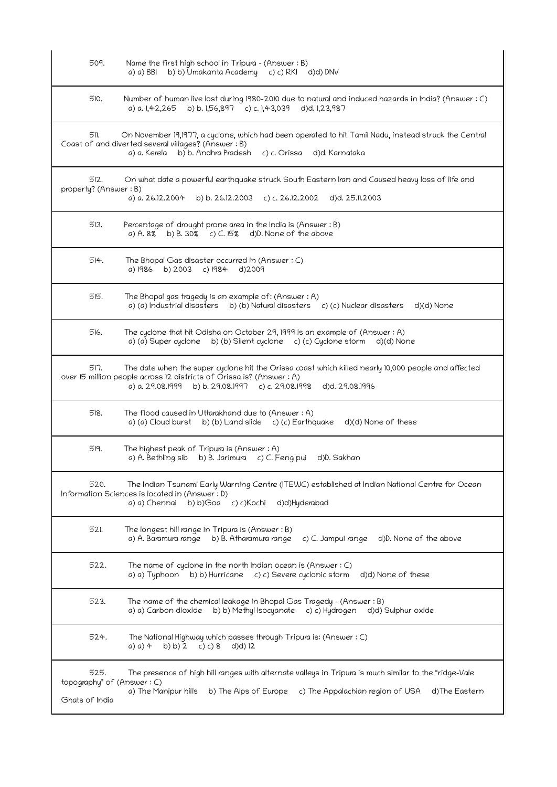| 509.                                                 | Name the first high school in Tripura - (Answer: B)<br>a) a) BBI b) b) Umakanta Academy c) c) RKI d)d) DNV                                                                                                                                         |
|------------------------------------------------------|----------------------------------------------------------------------------------------------------------------------------------------------------------------------------------------------------------------------------------------------------|
| 510.                                                 | Number of human live lost during 1980–2010 due to natural and induced hazards in India? (Answer : C)<br>b) b. 1,56,897 c) c. 1,43,039<br>a) a. 1,42,265<br>d)d. 1,23,987                                                                           |
| 511.                                                 | On November 19,1977, a cyclone, which had been operated to hit Tamil Nadu, instead struck the Central<br>Coast of and diverted several villages? (Answer: B)<br>b) b. Andhra Pradesh<br>c) c. Orissa<br>d)d. Karnataka<br>a) a. Kerela             |
| 512.<br>property? (Answer: B)                        | On what date a powerful earthquake struck South Eastern Iran and Caused heavy loss of life and<br>a) a. 26.12.2004<br>b) b. 26.12.2003 c) c. 26.12.2002<br>d)d. 25.11.2003                                                                         |
| 513.                                                 | Percentage of drought prone area in the India is (Answer: B)<br>a) A. 8% b) B. 30% c) C. 15% d)D. None of the above                                                                                                                                |
| 514.                                                 | The Bhopal Gas disaster occurred in (Answer: C)<br>a) 1986 b) 2003 c) 1984<br>d)2009                                                                                                                                                               |
| 515.                                                 | The Bhopal gas tragedy is an example of: (Answer: A)<br>a) (a) Industrial disasters<br>b) (b) Natural disasters c) (c) Nuclear disasters<br>d)(d) None                                                                                             |
| 516.                                                 | The cyclone that hit Odisha on October 29, 1999 is an example of (Answer : A)<br>a) (a) Super cyclone b) (b) Silent cyclone c) (c) Cyclone storm<br>d)(d) None                                                                                     |
| 517.                                                 | The date when the super cyclone hit the Orissa coast which killed nearly 10,000 people and affected<br>over 15 million people across 12 districts of Orissa is? (Answer : A)<br>a) a. 29.08.1999 b) b. 29.08.1997 c) c. 29.08.1998 d)d. 29.08.1996 |
| 518.                                                 | The flood caused in Uttarakhand due to (Answer: A)<br>a) (a) Cloud burst b) (b) Land slide c) (c) Earthquake d) (d) None of these                                                                                                                  |
| 519.                                                 | The highest peak of Tripura is (Answer $:A$ )<br>a) A. Bethling sib b) B. Jarimura c) C. Feng pui<br>d)D. Sakhan                                                                                                                                   |
| 520.                                                 | The Indian Tsunami Early Warning Centre (ITEWC) established at Indian National Centre for Ocean<br>Information Sciences is located in (Answer: D)<br>a) a) Chennai<br>b) b)Goa c) c)Kochi<br>d)d)Hyderabad                                         |
| 521.                                                 | The longest hill range in Tripura is (Answer: B)<br>a) A. Baramura range<br>b) B. Atharamura range<br>c) C. Jampui range<br>d)D. None of the above                                                                                                 |
| 522.                                                 | The name of cyclone in the north Indian ocean is (Answer $: C$ )<br>b) b) Hurricane c) c) Severe cyclonic storm<br>d)d) None of these<br>a) a) Typhoon                                                                                             |
| 523.                                                 | The name of the chemical leakage in Bhopal Gas Tragedy - (Answer : B)<br>b) b) Methyl Isocyanate c) c) Hydrogen d)d) Sulphur oxide<br>a) a) Carbon dioxide                                                                                         |
| 524.                                                 | The National Highway which passes through Tripura is: (Answer : C)<br>b) b) 2<br>c) c) 8<br>a) a) 4<br>d)d) 12                                                                                                                                     |
| 525.<br>topography" of (Answer: C)<br>Ghats of India | The presence of high hill ranges with alternate valleys in Tripura is much similar to the "ridge-Vale<br>a) The Manipur hills<br>b) The Alps of Europe<br>c) The Appalachian region of USA<br>d)The Eastern                                        |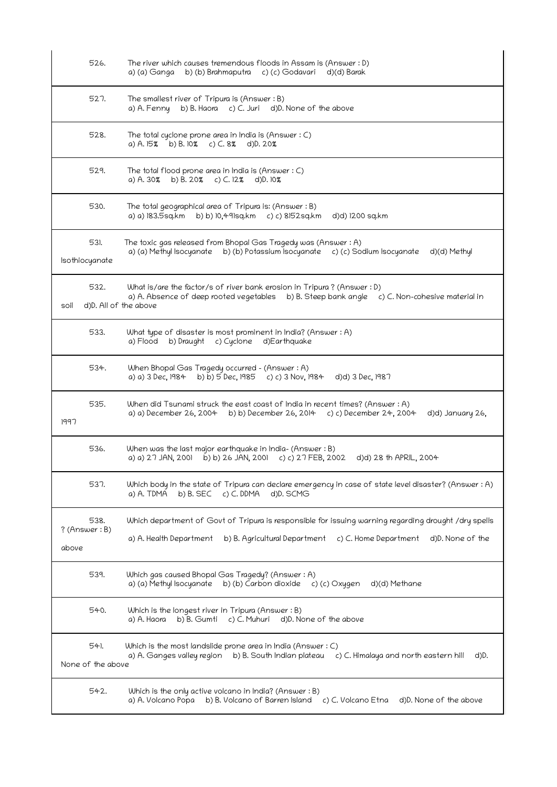| 526.                           | The river which causes tremendous floods in Assam is (Answer: D)<br>b) (b) Brahmaputra c) (c) Godavari d)(d) Barak<br>a) (a) Ganga                                                                         |
|--------------------------------|------------------------------------------------------------------------------------------------------------------------------------------------------------------------------------------------------------|
| 527.                           | The smallest river of Tripura is (Answer: B)<br>b) B. Haora c) C. Juri d) D. None of the above<br>a) A. Fenny                                                                                              |
| 528.                           | The total cyclone prone area in India is (Answer $: C$ )<br>a) A. 15% b) B. 10% c) C. 8% d) D. 20%                                                                                                         |
| 529.                           | The total flood prone area in India is (Answer $: C$ )<br>a) A. 30% b) B. 20% c) C. 12% d)D. 10%                                                                                                           |
| 530.                           | The total geographical area of Tripura is: (Answer : B)<br>a) a) 183.5sq.km b) b) 10.491sq.km c) c) 8152sq.km<br>d)d) 1200 sq.km                                                                           |
| 531.<br>Isothiocyanate         | The toxic gas released from Bhopal Gas Tragedy was (Answer: A)<br>a) (a) Methyl Isocyanate b) (b) Potassium Isocyanate c) (c) Sodium Isocyanate d)(d) Methyl                                               |
| 532.<br>soil                   | What is/are the factor/s of river bank erosion in Tripura? (Answer: D)<br>a) A. Absence of deep rooted vegetables b) B. Steep bank angle c) C. Non-cohesive material in<br>d)D. All of the above           |
| 533.                           | What type of disaster is most prominent in India? (Answer : A)<br>a) Flood<br>b) Draught c) Cyclone d) Earthquake                                                                                          |
| 534.                           | When Bhopal Gas Tragedy occurred - (Answer: A)<br>a) a) 3 Dec, 1984 b) b) 5 Dec, 1985 c) c) 3 Nov, 1984<br>d)d) 3 Dec, 1987                                                                                |
| 535.<br>1997                   | When did Tsunami struck the east coast of India in recent times? (Answer: A)<br>a) a) December 26, 2004 b) b) December 26, 2014 c) c) December 24, 2004<br>d)d) January 26,                                |
| 536.                           | When was the last major earthquake in India- (Answer: B)<br>a) a) 27 JAN, 2001 b) b) 26 JAN, 2001 c) c) 27 FEB, 2002<br>d)d) 28 th APRIL, 2004                                                             |
| 537.                           | Which body in the state of Tripura can declare emergency in case of state level disaster? (Answer: A)<br>c) C. DDMA<br>a) A. TDMA<br>$b)$ B. SEC<br>d)D. SCMG                                              |
| 538.<br>? (Answer: B)<br>above | Which department of Govt of Tripura is responsible for issuing warning regarding drought /dry spells<br>a) A. Health Department<br>b) B. Agricultural Department c) C. Home Department<br>d)D. None of the |
| 539.                           | Which gas caused Bhopal Gas Tragedy? (Answer: A)<br>b) (b) Carbon dioxide<br>a) (a) Methyl Isocyanate<br>d)(d) Methane<br>c) (c) Oxygen                                                                    |
| 540.                           | Which is the longest river in Tripura (Answer: B)<br>b) B. Gumti<br>c) C. Muhuri<br>d)D. None of the above<br>a) A. Haora                                                                                  |
| 54).<br>None of the above      | Which is the most landslide prone area in India (Answer : C)<br>a) A. Ganges valley region<br>b) B. South Indian plateau<br>c) C. Himalaya and north eastern hill<br>d)D.                                  |
| 542.                           | Which is the only active volcano in India? (Answer : B)<br>a) A. Volcano Popa<br>b) B. Volcano of Barren Island<br>c) C. Volcano Etna<br>d)D. None of the above                                            |